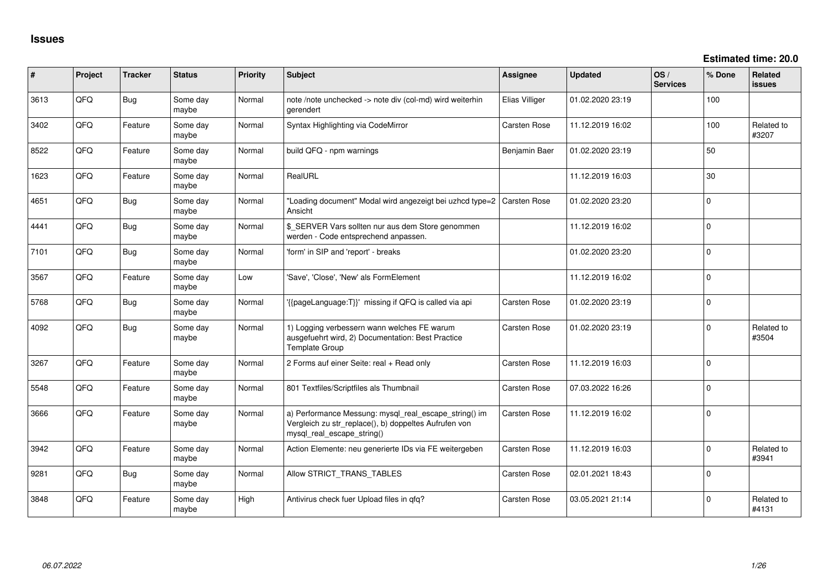**Estimated time: 20.0**

| #    | Project | <b>Tracker</b> | <b>Status</b>     | <b>Priority</b> | <b>Subject</b>                                                                                                                               | <b>Assignee</b>     | <b>Updated</b>   | OS/<br><b>Services</b> | % Done      | Related<br><b>issues</b> |
|------|---------|----------------|-------------------|-----------------|----------------------------------------------------------------------------------------------------------------------------------------------|---------------------|------------------|------------------------|-------------|--------------------------|
| 3613 | QFQ     | Bug            | Some day<br>maybe | Normal          | note /note unchecked -> note div (col-md) wird weiterhin<br><i>gerendert</i>                                                                 | Elias Villiger      | 01.02.2020 23:19 |                        | 100         |                          |
| 3402 | QFQ     | Feature        | Some day<br>maybe | Normal          | Syntax Highlighting via CodeMirror                                                                                                           | Carsten Rose        | 11.12.2019 16:02 |                        | 100         | Related to<br>#3207      |
| 8522 | QFQ     | Feature        | Some day<br>maybe | Normal          | build QFQ - npm warnings                                                                                                                     | Benjamin Baer       | 01.02.2020 23:19 |                        | 50          |                          |
| 1623 | QFQ     | Feature        | Some day<br>maybe | Normal          | RealURL                                                                                                                                      |                     | 11.12.2019 16:03 |                        | 30          |                          |
| 4651 | QFQ     | Bug            | Some day<br>maybe | Normal          | "Loading document" Modal wird angezeigt bei uzhcd type=2<br>Ansicht                                                                          | <b>Carsten Rose</b> | 01.02.2020 23:20 |                        | $\Omega$    |                          |
| 4441 | QFQ     | <b>Bug</b>     | Some day<br>maybe | Normal          | \$ SERVER Vars sollten nur aus dem Store genommen<br>werden - Code entsprechend anpassen.                                                    |                     | 11.12.2019 16:02 |                        | $\Omega$    |                          |
| 7101 | QFQ     | Bug            | Some day<br>maybe | Normal          | 'form' in SIP and 'report' - breaks                                                                                                          |                     | 01.02.2020 23:20 |                        | $\Omega$    |                          |
| 3567 | QFQ     | Feature        | Some day<br>maybe | Low             | 'Save', 'Close', 'New' als FormElement                                                                                                       |                     | 11.12.2019 16:02 |                        | 0           |                          |
| 5768 | QFQ     | <b>Bug</b>     | Some day<br>maybe | Normal          | '{{pageLanguage:T}}' missing if QFQ is called via api                                                                                        | Carsten Rose        | 01.02.2020 23:19 |                        | $\Omega$    |                          |
| 4092 | QFQ     | Bug            | Some day<br>maybe | Normal          | 1) Logging verbessern wann welches FE warum<br>ausgefuehrt wird, 2) Documentation: Best Practice<br>Template Group                           | Carsten Rose        | 01.02.2020 23:19 |                        | $\mathbf 0$ | Related to<br>#3504      |
| 3267 | QFQ     | Feature        | Some day<br>maybe | Normal          | 2 Forms auf einer Seite: real + Read only                                                                                                    | Carsten Rose        | 11.12.2019 16:03 |                        | $\Omega$    |                          |
| 5548 | QFQ     | Feature        | Some day<br>maybe | Normal          | 801 Textfiles/Scriptfiles als Thumbnail                                                                                                      | Carsten Rose        | 07.03.2022 16:26 |                        | $\mathbf 0$ |                          |
| 3666 | QFQ     | Feature        | Some day<br>maybe | Normal          | a) Performance Messung: mysql_real_escape_string() im<br>Vergleich zu str_replace(), b) doppeltes Aufrufen von<br>mysql_real_escape_string() | Carsten Rose        | 11.12.2019 16:02 |                        | $\mathbf 0$ |                          |
| 3942 | QFQ     | Feature        | Some day<br>maybe | Normal          | Action Elemente: neu generierte IDs via FE weitergeben                                                                                       | Carsten Rose        | 11.12.2019 16:03 |                        | $\mathbf 0$ | Related to<br>#3941      |
| 9281 | QFQ     | Bug            | Some day<br>maybe | Normal          | Allow STRICT_TRANS_TABLES                                                                                                                    | Carsten Rose        | 02.01.2021 18:43 |                        | 0           |                          |
| 3848 | QFQ     | Feature        | Some day<br>maybe | High            | Antivirus check fuer Upload files in qfq?                                                                                                    | Carsten Rose        | 03.05.2021 21:14 |                        | $\Omega$    | Related to<br>#4131      |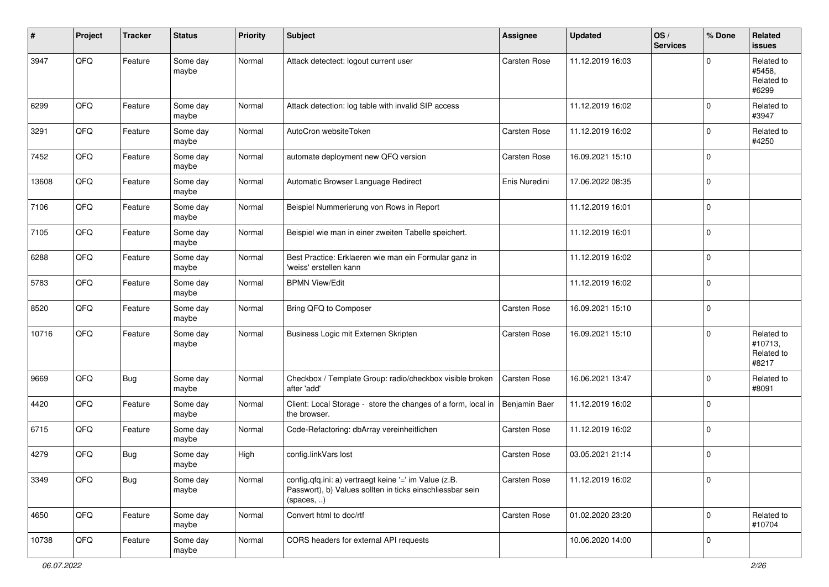| #     | Project | <b>Tracker</b> | <b>Status</b>     | <b>Priority</b> | <b>Subject</b>                                                                                                                   | <b>Assignee</b> | <b>Updated</b>   | OS/<br><b>Services</b> | % Done      | Related<br><b>issues</b>                     |
|-------|---------|----------------|-------------------|-----------------|----------------------------------------------------------------------------------------------------------------------------------|-----------------|------------------|------------------------|-------------|----------------------------------------------|
| 3947  | QFQ     | Feature        | Some day<br>maybe | Normal          | Attack detectect: logout current user                                                                                            | Carsten Rose    | 11.12.2019 16:03 |                        | $\mathbf 0$ | Related to<br>#5458.<br>Related to<br>#6299  |
| 6299  | QFQ     | Feature        | Some day<br>maybe | Normal          | Attack detection: log table with invalid SIP access                                                                              |                 | 11.12.2019 16:02 |                        | $\mathbf 0$ | Related to<br>#3947                          |
| 3291  | QFQ     | Feature        | Some day<br>maybe | Normal          | AutoCron websiteToken                                                                                                            | Carsten Rose    | 11.12.2019 16:02 |                        | $\mathbf 0$ | Related to<br>#4250                          |
| 7452  | QFQ     | Feature        | Some day<br>maybe | Normal          | automate deployment new QFQ version                                                                                              | Carsten Rose    | 16.09.2021 15:10 |                        | $\mathbf 0$ |                                              |
| 13608 | QFQ     | Feature        | Some day<br>maybe | Normal          | Automatic Browser Language Redirect                                                                                              | Enis Nuredini   | 17.06.2022 08:35 |                        | $\mathbf 0$ |                                              |
| 7106  | QFQ     | Feature        | Some day<br>maybe | Normal          | Beispiel Nummerierung von Rows in Report                                                                                         |                 | 11.12.2019 16:01 |                        | $\mathbf 0$ |                                              |
| 7105  | QFQ     | Feature        | Some day<br>maybe | Normal          | Beispiel wie man in einer zweiten Tabelle speichert.                                                                             |                 | 11.12.2019 16:01 |                        | $\mathbf 0$ |                                              |
| 6288  | QFQ     | Feature        | Some day<br>maybe | Normal          | Best Practice: Erklaeren wie man ein Formular ganz in<br>'weiss' erstellen kann                                                  |                 | 11.12.2019 16:02 |                        | $\mathbf 0$ |                                              |
| 5783  | QFQ     | Feature        | Some day<br>maybe | Normal          | <b>BPMN View/Edit</b>                                                                                                            |                 | 11.12.2019 16:02 |                        | $\mathbf 0$ |                                              |
| 8520  | QFQ     | Feature        | Some day<br>maybe | Normal          | Bring QFQ to Composer                                                                                                            | Carsten Rose    | 16.09.2021 15:10 |                        | $\mathbf 0$ |                                              |
| 10716 | QFQ     | Feature        | Some day<br>maybe | Normal          | Business Logic mit Externen Skripten                                                                                             | Carsten Rose    | 16.09.2021 15:10 |                        | $\mathbf 0$ | Related to<br>#10713,<br>Related to<br>#8217 |
| 9669  | QFQ     | <b>Bug</b>     | Some day<br>maybe | Normal          | Checkbox / Template Group: radio/checkbox visible broken<br>after 'add'                                                          | Carsten Rose    | 16.06.2021 13:47 |                        | $\mathbf 0$ | Related to<br>#8091                          |
| 4420  | QFQ     | Feature        | Some day<br>maybe | Normal          | Client: Local Storage - store the changes of a form, local in<br>the browser.                                                    | Benjamin Baer   | 11.12.2019 16:02 |                        | $\mathbf 0$ |                                              |
| 6715  | QFQ     | Feature        | Some day<br>maybe | Normal          | Code-Refactoring: dbArray vereinheitlichen                                                                                       | Carsten Rose    | 11.12.2019 16:02 |                        | $\mathbf 0$ |                                              |
| 4279  | QFQ     | <b>Bug</b>     | Some day<br>maybe | High            | config.linkVars lost                                                                                                             | Carsten Rose    | 03.05.2021 21:14 |                        | $\mathbf 0$ |                                              |
| 3349  | QFG     | <b>Bug</b>     | Some day<br>maybe | Normal          | config.qfq.ini: a) vertraegt keine '=' im Value (z.B.<br>Passwort), b) Values sollten in ticks einschliessbar sein<br>(spaces, ) | Carsten Rose    | 11.12.2019 16:02 |                        | $\pmb{0}$   |                                              |
| 4650  | QFQ     | Feature        | Some day<br>maybe | Normal          | Convert html to doc/rtf                                                                                                          | Carsten Rose    | 01.02.2020 23:20 |                        | $\mathbf 0$ | Related to<br>#10704                         |
| 10738 | QFG     | Feature        | Some day<br>maybe | Normal          | CORS headers for external API requests                                                                                           |                 | 10.06.2020 14:00 |                        | $\mathbf 0$ |                                              |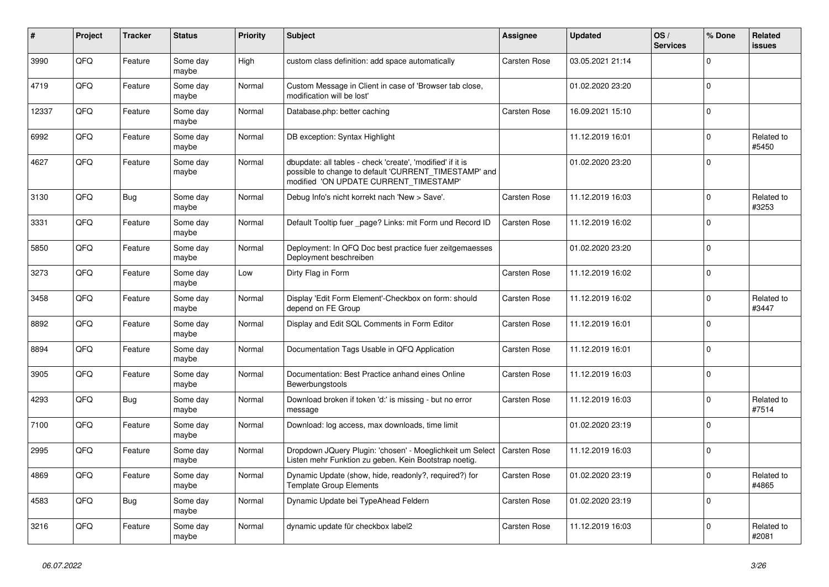| #     | Project | <b>Tracker</b> | <b>Status</b>     | <b>Priority</b> | <b>Subject</b>                                                                                                                                                | Assignee            | <b>Updated</b>   | OS/<br><b>Services</b> | % Done      | Related<br>issues   |
|-------|---------|----------------|-------------------|-----------------|---------------------------------------------------------------------------------------------------------------------------------------------------------------|---------------------|------------------|------------------------|-------------|---------------------|
| 3990  | QFQ     | Feature        | Some day<br>maybe | High            | custom class definition: add space automatically                                                                                                              | Carsten Rose        | 03.05.2021 21:14 |                        | $\Omega$    |                     |
| 4719  | QFQ     | Feature        | Some day<br>maybe | Normal          | Custom Message in Client in case of 'Browser tab close,<br>modification will be lost'                                                                         |                     | 01.02.2020 23:20 |                        | $\mathbf 0$ |                     |
| 12337 | QFQ     | Feature        | Some day<br>maybe | Normal          | Database.php: better caching                                                                                                                                  | Carsten Rose        | 16.09.2021 15:10 |                        | $\Omega$    |                     |
| 6992  | QFQ     | Feature        | Some day<br>maybe | Normal          | DB exception: Syntax Highlight                                                                                                                                |                     | 11.12.2019 16:01 |                        | $\Omega$    | Related to<br>#5450 |
| 4627  | QFQ     | Feature        | Some day<br>maybe | Normal          | dbupdate: all tables - check 'create', 'modified' if it is<br>possible to change to default 'CURRENT_TIMESTAMP' and<br>modified 'ON UPDATE CURRENT TIMESTAMP' |                     | 01.02.2020 23:20 |                        | $\Omega$    |                     |
| 3130  | QFQ     | Bug            | Some day<br>maybe | Normal          | Debug Info's nicht korrekt nach 'New > Save'.                                                                                                                 | Carsten Rose        | 11.12.2019 16:03 |                        | $\mathbf 0$ | Related to<br>#3253 |
| 3331  | QFQ     | Feature        | Some day<br>maybe | Normal          | Default Tooltip fuer _page? Links: mit Form und Record ID                                                                                                     | Carsten Rose        | 11.12.2019 16:02 |                        | $\Omega$    |                     |
| 5850  | QFQ     | Feature        | Some day<br>maybe | Normal          | Deployment: In QFQ Doc best practice fuer zeitgemaesses<br>Deployment beschreiben                                                                             |                     | 01.02.2020 23:20 |                        | $\Omega$    |                     |
| 3273  | QFQ     | Feature        | Some day<br>maybe | Low             | Dirty Flag in Form                                                                                                                                            | Carsten Rose        | 11.12.2019 16:02 |                        | $\Omega$    |                     |
| 3458  | QFQ     | Feature        | Some day<br>maybe | Normal          | Display 'Edit Form Element'-Checkbox on form: should<br>depend on FE Group                                                                                    | Carsten Rose        | 11.12.2019 16:02 |                        | $\mathbf 0$ | Related to<br>#3447 |
| 8892  | QFQ     | Feature        | Some day<br>maybe | Normal          | Display and Edit SQL Comments in Form Editor                                                                                                                  | Carsten Rose        | 11.12.2019 16:01 |                        | $\Omega$    |                     |
| 8894  | QFQ     | Feature        | Some day<br>maybe | Normal          | Documentation Tags Usable in QFQ Application                                                                                                                  | Carsten Rose        | 11.12.2019 16:01 |                        | $\Omega$    |                     |
| 3905  | QFQ     | Feature        | Some day<br>maybe | Normal          | Documentation: Best Practice anhand eines Online<br>Bewerbungstools                                                                                           | Carsten Rose        | 11.12.2019 16:03 |                        | $\Omega$    |                     |
| 4293  | QFQ     | Bug            | Some day<br>maybe | Normal          | Download broken if token 'd:' is missing - but no error<br>message                                                                                            | Carsten Rose        | 11.12.2019 16:03 |                        | $\Omega$    | Related to<br>#7514 |
| 7100  | QFQ     | Feature        | Some day<br>maybe | Normal          | Download: log access, max downloads, time limit                                                                                                               |                     | 01.02.2020 23:19 |                        | $\Omega$    |                     |
| 2995  | QFQ     | Feature        | Some day<br>maybe | Normal          | Dropdown JQuery Plugin: 'chosen' - Moeglichkeit um Select<br>Listen mehr Funktion zu geben. Kein Bootstrap noetig.                                            | <b>Carsten Rose</b> | 11.12.2019 16:03 |                        | 0           |                     |
| 4869  | QFQ     | Feature        | Some day<br>maybe | Normal          | Dynamic Update (show, hide, readonly?, required?) for<br><b>Template Group Elements</b>                                                                       | Carsten Rose        | 01.02.2020 23:19 |                        | $\Omega$    | Related to<br>#4865 |
| 4583  | QFQ     | <b>Bug</b>     | Some day<br>maybe | Normal          | Dynamic Update bei TypeAhead Feldern                                                                                                                          | Carsten Rose        | 01.02.2020 23:19 |                        | $\Omega$    |                     |
| 3216  | QFQ     | Feature        | Some day<br>maybe | Normal          | dynamic update für checkbox label2                                                                                                                            | Carsten Rose        | 11.12.2019 16:03 |                        | $\mathbf 0$ | Related to<br>#2081 |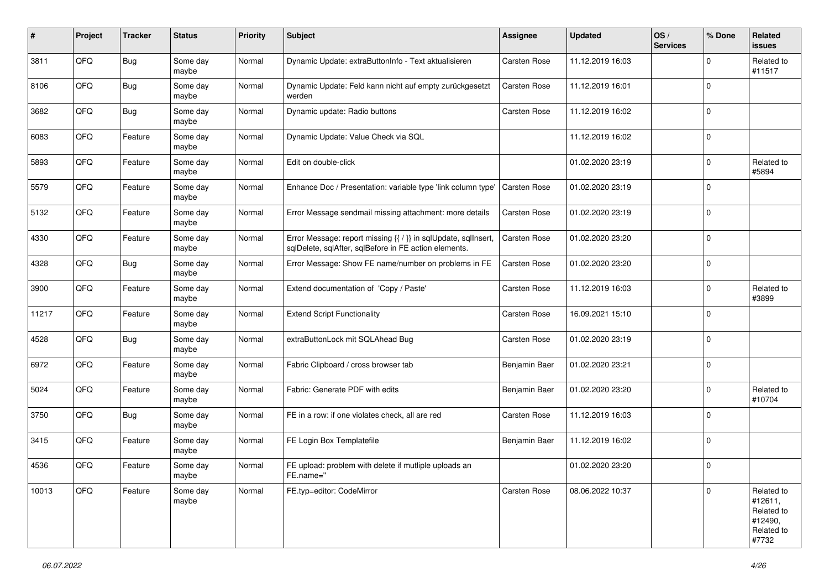| #     | Project | <b>Tracker</b> | <b>Status</b>     | <b>Priority</b> | <b>Subject</b>                                                                                                          | Assignee      | <b>Updated</b>   | OS/<br><b>Services</b> | % Done      | Related<br>issues                                                     |
|-------|---------|----------------|-------------------|-----------------|-------------------------------------------------------------------------------------------------------------------------|---------------|------------------|------------------------|-------------|-----------------------------------------------------------------------|
| 3811  | QFQ     | Bug            | Some day<br>maybe | Normal          | Dynamic Update: extraButtonInfo - Text aktualisieren                                                                    | Carsten Rose  | 11.12.2019 16:03 |                        | $\Omega$    | Related to<br>#11517                                                  |
| 8106  | QFQ     | Bug            | Some day<br>maybe | Normal          | Dynamic Update: Feld kann nicht auf empty zurückgesetzt<br>werden                                                       | Carsten Rose  | 11.12.2019 16:01 |                        | $\Omega$    |                                                                       |
| 3682  | QFQ     | <b>Bug</b>     | Some day<br>maybe | Normal          | Dynamic update: Radio buttons                                                                                           | Carsten Rose  | 11.12.2019 16:02 |                        | $\Omega$    |                                                                       |
| 6083  | QFQ     | Feature        | Some day<br>maybe | Normal          | Dynamic Update: Value Check via SQL                                                                                     |               | 11.12.2019 16:02 |                        | $\mathbf 0$ |                                                                       |
| 5893  | QFQ     | Feature        | Some day<br>maybe | Normal          | Edit on double-click                                                                                                    |               | 01.02.2020 23:19 |                        | $\Omega$    | Related to<br>#5894                                                   |
| 5579  | QFQ     | Feature        | Some day<br>maybe | Normal          | Enhance Doc / Presentation: variable type 'link column type'                                                            | Carsten Rose  | 01.02.2020 23:19 |                        | $\Omega$    |                                                                       |
| 5132  | QFQ     | Feature        | Some day<br>maybe | Normal          | Error Message sendmail missing attachment: more details                                                                 | Carsten Rose  | 01.02.2020 23:19 |                        | $\Omega$    |                                                                       |
| 4330  | QFQ     | Feature        | Some day<br>maybe | Normal          | Error Message: report missing {{ / }} in sqlUpdate, sqlInsert,<br>sqlDelete, sqlAfter, sqlBefore in FE action elements. | Carsten Rose  | 01.02.2020 23:20 |                        | $\mathbf 0$ |                                                                       |
| 4328  | QFQ     | Bug            | Some day<br>maybe | Normal          | Error Message: Show FE name/number on problems in FE                                                                    | Carsten Rose  | 01.02.2020 23:20 |                        | 0           |                                                                       |
| 3900  | QFQ     | Feature        | Some day<br>maybe | Normal          | Extend documentation of 'Copy / Paste'                                                                                  | Carsten Rose  | 11.12.2019 16:03 |                        | 0           | Related to<br>#3899                                                   |
| 11217 | QFQ     | Feature        | Some day<br>maybe | Normal          | <b>Extend Script Functionality</b>                                                                                      | Carsten Rose  | 16.09.2021 15:10 |                        | $\Omega$    |                                                                       |
| 4528  | QFQ     | Bug            | Some day<br>maybe | Normal          | extraButtonLock mit SQLAhead Bug                                                                                        | Carsten Rose  | 01.02.2020 23:19 |                        | $\Omega$    |                                                                       |
| 6972  | QFQ     | Feature        | Some day<br>maybe | Normal          | Fabric Clipboard / cross browser tab                                                                                    | Benjamin Baer | 01.02.2020 23:21 |                        | $\Omega$    |                                                                       |
| 5024  | QFQ     | Feature        | Some day<br>maybe | Normal          | Fabric: Generate PDF with edits                                                                                         | Benjamin Baer | 01.02.2020 23:20 |                        | $\Omega$    | Related to<br>#10704                                                  |
| 3750  | QFQ     | <b>Bug</b>     | Some day<br>maybe | Normal          | FE in a row: if one violates check, all are red                                                                         | Carsten Rose  | 11.12.2019 16:03 |                        | $\mathbf 0$ |                                                                       |
| 3415  | QFQ     | Feature        | Some day<br>maybe | Normal          | FE Login Box Templatefile                                                                                               | Benjamin Baer | 11.12.2019 16:02 |                        | 0           |                                                                       |
| 4536  | QFQ     | Feature        | Some day<br>maybe | Normal          | FE upload: problem with delete if mutliple uploads an<br>FE.name="                                                      |               | 01.02.2020 23:20 |                        | 0           |                                                                       |
| 10013 | QFQ     | Feature        | Some day<br>maybe | Normal          | FE.typ=editor: CodeMirror                                                                                               | Carsten Rose  | 08.06.2022 10:37 |                        | $\Omega$    | Related to<br>#12611,<br>Related to<br>#12490,<br>Related to<br>#7732 |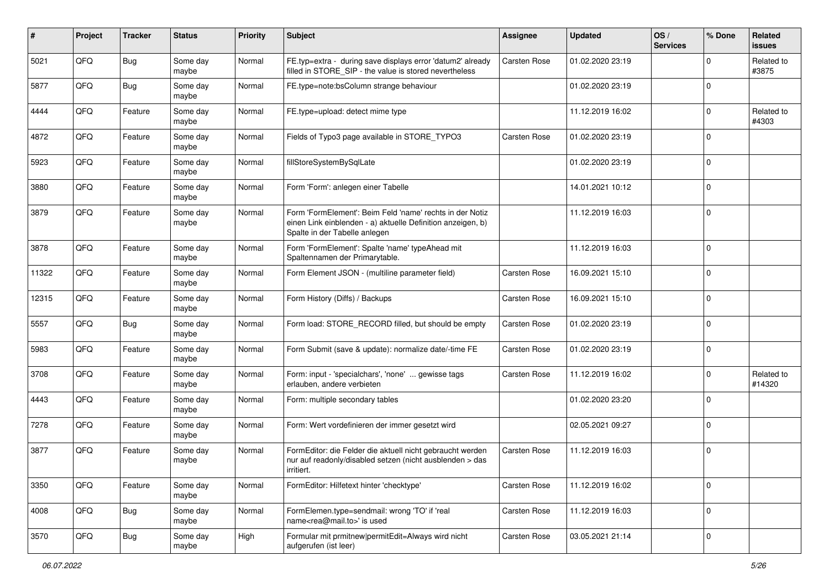| #     | Project | <b>Tracker</b> | <b>Status</b>     | <b>Priority</b> | <b>Subject</b>                                                                                                                                           | Assignee     | <b>Updated</b>   | OS/<br><b>Services</b> | % Done      | Related<br>issues    |
|-------|---------|----------------|-------------------|-----------------|----------------------------------------------------------------------------------------------------------------------------------------------------------|--------------|------------------|------------------------|-------------|----------------------|
| 5021  | QFQ     | Bug            | Some day<br>maybe | Normal          | FE.typ=extra - during save displays error 'datum2' already<br>filled in STORE_SIP - the value is stored nevertheless                                     | Carsten Rose | 01.02.2020 23:19 |                        | $\Omega$    | Related to<br>#3875  |
| 5877  | QFQ     | Bug            | Some day<br>maybe | Normal          | FE.type=note:bsColumn strange behaviour                                                                                                                  |              | 01.02.2020 23:19 |                        | $\Omega$    |                      |
| 4444  | QFQ     | Feature        | Some day<br>maybe | Normal          | FE.type=upload: detect mime type                                                                                                                         |              | 11.12.2019 16:02 |                        | 0           | Related to<br>#4303  |
| 4872  | QFQ     | Feature        | Some day<br>maybe | Normal          | Fields of Typo3 page available in STORE_TYPO3                                                                                                            | Carsten Rose | 01.02.2020 23:19 |                        | $\Omega$    |                      |
| 5923  | QFQ     | Feature        | Some day<br>maybe | Normal          | fillStoreSystemBySqlLate                                                                                                                                 |              | 01.02.2020 23:19 |                        | $\Omega$    |                      |
| 3880  | QFQ     | Feature        | Some day<br>maybe | Normal          | Form 'Form': anlegen einer Tabelle                                                                                                                       |              | 14.01.2021 10:12 |                        | $\Omega$    |                      |
| 3879  | QFQ     | Feature        | Some day<br>maybe | Normal          | Form 'FormElement': Beim Feld 'name' rechts in der Notiz<br>einen Link einblenden - a) aktuelle Definition anzeigen, b)<br>Spalte in der Tabelle anlegen |              | 11.12.2019 16:03 |                        | $\Omega$    |                      |
| 3878  | QFQ     | Feature        | Some day<br>maybe | Normal          | Form 'FormElement': Spalte 'name' typeAhead mit<br>Spaltennamen der Primarytable.                                                                        |              | 11.12.2019 16:03 |                        | $\Omega$    |                      |
| 11322 | QFQ     | Feature        | Some day<br>maybe | Normal          | Form Element JSON - (multiline parameter field)                                                                                                          | Carsten Rose | 16.09.2021 15:10 |                        | $\mathbf 0$ |                      |
| 12315 | QFQ     | Feature        | Some day<br>maybe | Normal          | Form History (Diffs) / Backups                                                                                                                           | Carsten Rose | 16.09.2021 15:10 |                        | 0           |                      |
| 5557  | QFQ     | <b>Bug</b>     | Some day<br>maybe | Normal          | Form load: STORE_RECORD filled, but should be empty                                                                                                      | Carsten Rose | 01.02.2020 23:19 |                        | $\Omega$    |                      |
| 5983  | QFQ     | Feature        | Some day<br>maybe | Normal          | Form Submit (save & update): normalize date/-time FE                                                                                                     | Carsten Rose | 01.02.2020 23:19 |                        | 0           |                      |
| 3708  | QFQ     | Feature        | Some day<br>maybe | Normal          | Form: input - 'specialchars', 'none'  gewisse tags<br>erlauben, andere verbieten                                                                         | Carsten Rose | 11.12.2019 16:02 |                        | $\Omega$    | Related to<br>#14320 |
| 4443  | QFQ     | Feature        | Some day<br>maybe | Normal          | Form: multiple secondary tables                                                                                                                          |              | 01.02.2020 23:20 |                        | $\Omega$    |                      |
| 7278  | QFQ     | Feature        | Some day<br>maybe | Normal          | Form: Wert vordefinieren der immer gesetzt wird                                                                                                          |              | 02.05.2021 09:27 |                        | $\Omega$    |                      |
| 3877  | QFQ     | Feature        | Some day<br>maybe | Normal          | FormEditor: die Felder die aktuell nicht gebraucht werden<br>nur auf readonly/disabled setzen (nicht ausblenden > das<br>irritiert.                      | Carsten Rose | 11.12.2019 16:03 |                        | $\mathbf 0$ |                      |
| 3350  | QFQ     | Feature        | Some day<br>maybe | Normal          | FormEditor: Hilfetext hinter 'checktype'                                                                                                                 | Carsten Rose | 11.12.2019 16:02 |                        | $\mathbf 0$ |                      |
| 4008  | QFQ     | <b>Bug</b>     | Some day<br>maybe | Normal          | FormElemen.type=sendmail: wrong 'TO' if 'real<br>name <rea@mail.to>' is used</rea@mail.to>                                                               | Carsten Rose | 11.12.2019 16:03 |                        | 0           |                      |
| 3570  | QFQ     | <b>Bug</b>     | Some day<br>maybe | High            | Formular mit prmitnew permitEdit=Always wird nicht<br>aufgerufen (ist leer)                                                                              | Carsten Rose | 03.05.2021 21:14 |                        | 0           |                      |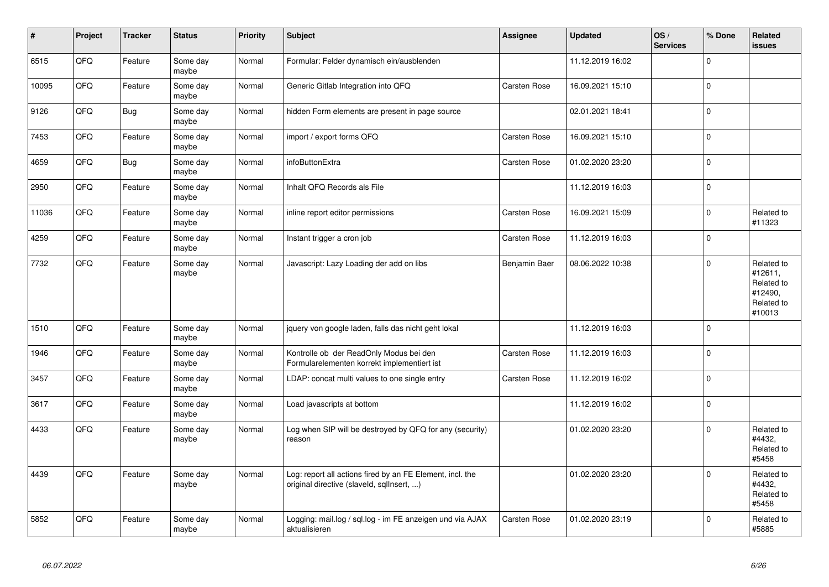| $\vert$ # | Project | <b>Tracker</b> | <b>Status</b>     | <b>Priority</b> | <b>Subject</b>                                                                                         | <b>Assignee</b> | <b>Updated</b>   | OS/<br><b>Services</b> | % Done       | <b>Related</b><br><b>issues</b>                                        |
|-----------|---------|----------------|-------------------|-----------------|--------------------------------------------------------------------------------------------------------|-----------------|------------------|------------------------|--------------|------------------------------------------------------------------------|
| 6515      | QFQ     | Feature        | Some day<br>maybe | Normal          | Formular: Felder dynamisch ein/ausblenden                                                              |                 | 11.12.2019 16:02 |                        | $\Omega$     |                                                                        |
| 10095     | QFQ     | Feature        | Some day<br>maybe | Normal          | Generic Gitlab Integration into QFQ                                                                    | Carsten Rose    | 16.09.2021 15:10 |                        | $\Omega$     |                                                                        |
| 9126      | QFQ     | Bug            | Some day<br>maybe | Normal          | hidden Form elements are present in page source                                                        |                 | 02.01.2021 18:41 |                        | $\Omega$     |                                                                        |
| 7453      | QFQ     | Feature        | Some day<br>maybe | Normal          | import / export forms QFQ                                                                              | Carsten Rose    | 16.09.2021 15:10 |                        | $\Omega$     |                                                                        |
| 4659      | QFQ     | <b>Bug</b>     | Some day<br>maybe | Normal          | infoButtonExtra                                                                                        | Carsten Rose    | 01.02.2020 23:20 |                        | $\Omega$     |                                                                        |
| 2950      | QFQ     | Feature        | Some day<br>maybe | Normal          | Inhalt QFQ Records als File                                                                            |                 | 11.12.2019 16:03 |                        | $\Omega$     |                                                                        |
| 11036     | QFQ     | Feature        | Some day<br>maybe | Normal          | inline report editor permissions                                                                       | Carsten Rose    | 16.09.2021 15:09 |                        | $\Omega$     | Related to<br>#11323                                                   |
| 4259      | QFQ     | Feature        | Some day<br>maybe | Normal          | Instant trigger a cron job                                                                             | Carsten Rose    | 11.12.2019 16:03 |                        | $\Omega$     |                                                                        |
| 7732      | QFQ     | Feature        | Some day<br>maybe | Normal          | Javascript: Lazy Loading der add on libs                                                               | Benjamin Baer   | 08.06.2022 10:38 |                        | $\Omega$     | Related to<br>#12611,<br>Related to<br>#12490,<br>Related to<br>#10013 |
| 1510      | QFQ     | Feature        | Some day<br>maybe | Normal          | jquery von google laden, falls das nicht geht lokal                                                    |                 | 11.12.2019 16:03 |                        | $\Omega$     |                                                                        |
| 1946      | QFQ     | Feature        | Some day<br>maybe | Normal          | Kontrolle ob der ReadOnly Modus bei den<br>Formularelementen korrekt implementiert ist                 | Carsten Rose    | 11.12.2019 16:03 |                        | $\Omega$     |                                                                        |
| 3457      | QFQ     | Feature        | Some day<br>maybe | Normal          | LDAP: concat multi values to one single entry                                                          | Carsten Rose    | 11.12.2019 16:02 |                        | $\mathbf 0$  |                                                                        |
| 3617      | QFQ     | Feature        | Some day<br>maybe | Normal          | Load javascripts at bottom                                                                             |                 | 11.12.2019 16:02 |                        | $\mathbf 0$  |                                                                        |
| 4433      | QFQ     | Feature        | Some day<br>maybe | Normal          | Log when SIP will be destroyed by QFQ for any (security)<br>reason                                     |                 | 01.02.2020 23:20 |                        | $\Omega$     | Related to<br>#4432,<br>Related to<br>#5458                            |
| 4439      | QFQ     | Feature        | Some day<br>maybe | Normal          | Log: report all actions fired by an FE Element, incl. the<br>original directive (slaveld, sqllnsert, ) |                 | 01.02.2020 23:20 |                        | $\Omega$     | Related to<br>#4432.<br>Related to<br>#5458                            |
| 5852      | QFQ     | Feature        | Some day<br>maybe | Normal          | Logging: mail.log / sql.log - im FE anzeigen und via AJAX<br>aktualisieren                             | Carsten Rose    | 01.02.2020 23:19 |                        | $\mathbf{0}$ | Related to<br>#5885                                                    |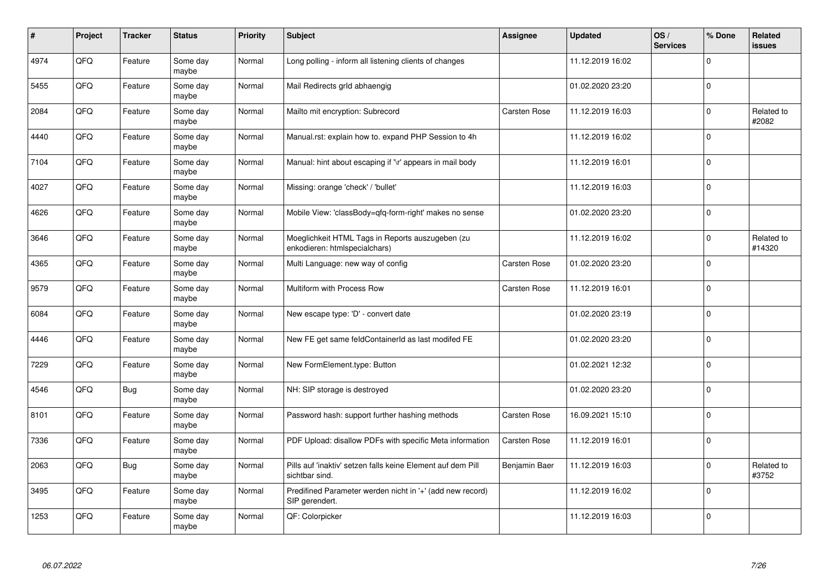| #    | Project | <b>Tracker</b> | <b>Status</b>     | <b>Priority</b> | <b>Subject</b>                                                                    | <b>Assignee</b> | <b>Updated</b>   | OS/<br><b>Services</b> | % Done      | <b>Related</b><br><b>issues</b> |
|------|---------|----------------|-------------------|-----------------|-----------------------------------------------------------------------------------|-----------------|------------------|------------------------|-------------|---------------------------------|
| 4974 | QFQ     | Feature        | Some day<br>maybe | Normal          | Long polling - inform all listening clients of changes                            |                 | 11.12.2019 16:02 |                        | $\Omega$    |                                 |
| 5455 | QFQ     | Feature        | Some day<br>maybe | Normal          | Mail Redirects grld abhaengig                                                     |                 | 01.02.2020 23:20 |                        | $\Omega$    |                                 |
| 2084 | QFQ     | Feature        | Some day<br>maybe | Normal          | Mailto mit encryption: Subrecord                                                  | Carsten Rose    | 11.12.2019 16:03 |                        | $\Omega$    | Related to<br>#2082             |
| 4440 | QFQ     | Feature        | Some day<br>maybe | Normal          | Manual.rst: explain how to. expand PHP Session to 4h                              |                 | 11.12.2019 16:02 |                        | $\Omega$    |                                 |
| 7104 | QFQ     | Feature        | Some day<br>maybe | Normal          | Manual: hint about escaping if '\r' appears in mail body                          |                 | 11.12.2019 16:01 |                        | $\Omega$    |                                 |
| 4027 | QFQ     | Feature        | Some day<br>maybe | Normal          | Missing: orange 'check' / 'bullet'                                                |                 | 11.12.2019 16:03 |                        | $\Omega$    |                                 |
| 4626 | QFQ     | Feature        | Some day<br>maybe | Normal          | Mobile View: 'classBody=qfq-form-right' makes no sense                            |                 | 01.02.2020 23:20 |                        | $\Omega$    |                                 |
| 3646 | QFQ     | Feature        | Some day<br>maybe | Normal          | Moeglichkeit HTML Tags in Reports auszugeben (zu<br>enkodieren: htmlspecialchars) |                 | 11.12.2019 16:02 |                        | $\Omega$    | Related to<br>#14320            |
| 4365 | QFQ     | Feature        | Some day<br>maybe | Normal          | Multi Language: new way of config                                                 | Carsten Rose    | 01.02.2020 23:20 |                        | $\Omega$    |                                 |
| 9579 | QFQ     | Feature        | Some day<br>maybe | Normal          | Multiform with Process Row                                                        | Carsten Rose    | 11.12.2019 16:01 |                        | $\Omega$    |                                 |
| 6084 | QFQ     | Feature        | Some day<br>maybe | Normal          | New escape type: 'D' - convert date                                               |                 | 01.02.2020 23:19 |                        | $\Omega$    |                                 |
| 4446 | QFQ     | Feature        | Some day<br>maybe | Normal          | New FE get same feldContainerId as last modifed FE                                |                 | 01.02.2020 23:20 |                        | $\Omega$    |                                 |
| 7229 | QFQ     | Feature        | Some day<br>maybe | Normal          | New FormElement.type: Button                                                      |                 | 01.02.2021 12:32 |                        | $\mathbf 0$ |                                 |
| 4546 | QFQ     | Bug            | Some day<br>maybe | Normal          | NH: SIP storage is destroyed                                                      |                 | 01.02.2020 23:20 |                        | $\Omega$    |                                 |
| 8101 | QFQ     | Feature        | Some day<br>maybe | Normal          | Password hash: support further hashing methods                                    | Carsten Rose    | 16.09.2021 15:10 |                        | $\Omega$    |                                 |
| 7336 | QFQ     | Feature        | Some day<br>maybe | Normal          | PDF Upload: disallow PDFs with specific Meta information                          | Carsten Rose    | 11.12.2019 16:01 |                        | $\Omega$    |                                 |
| 2063 | QFQ     | <b>Bug</b>     | Some day<br>maybe | Normal          | Pills auf 'inaktiv' setzen falls keine Element auf dem Pill<br>sichtbar sind.     | Benjamin Baer   | 11.12.2019 16:03 |                        | $\Omega$    | Related to<br>#3752             |
| 3495 | QFQ     | Feature        | Some day<br>maybe | Normal          | Predifined Parameter werden nicht in '+' (add new record)<br>SIP gerendert.       |                 | 11.12.2019 16:02 |                        | $\Omega$    |                                 |
| 1253 | QFQ     | Feature        | Some day<br>maybe | Normal          | QF: Colorpicker                                                                   |                 | 11.12.2019 16:03 |                        | $\Omega$    |                                 |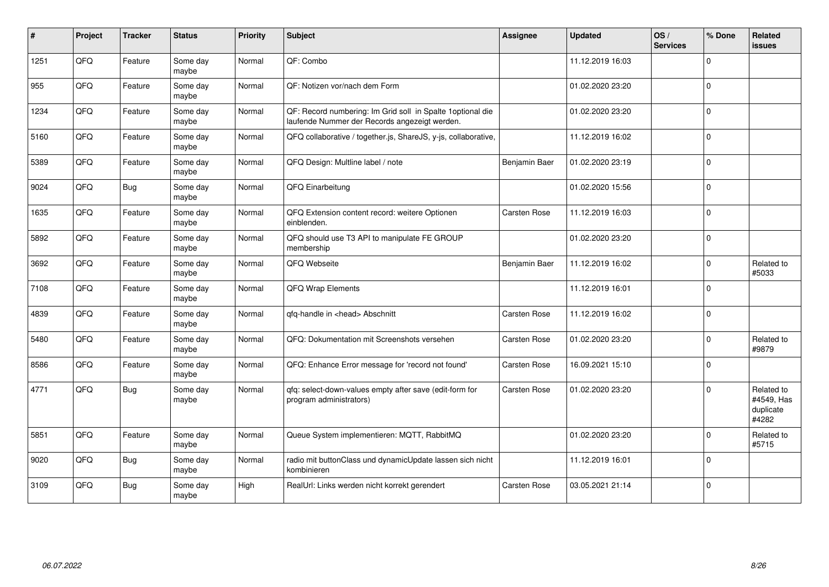| $\sharp$ | Project | <b>Tracker</b> | <b>Status</b>     | <b>Priority</b> | <b>Subject</b>                                                                                               | Assignee            | <b>Updated</b>   | OS/<br><b>Services</b> | % Done      | Related<br>issues                              |
|----------|---------|----------------|-------------------|-----------------|--------------------------------------------------------------------------------------------------------------|---------------------|------------------|------------------------|-------------|------------------------------------------------|
| 1251     | QFQ     | Feature        | Some day<br>maybe | Normal          | QF: Combo                                                                                                    |                     | 11.12.2019 16:03 |                        | $\Omega$    |                                                |
| 955      | QFQ     | Feature        | Some day<br>maybe | Normal          | QF: Notizen vor/nach dem Form                                                                                |                     | 01.02.2020 23:20 |                        | $\Omega$    |                                                |
| 1234     | QFQ     | Feature        | Some day<br>maybe | Normal          | QF: Record numbering: Im Grid soll in Spalte 1 optional die<br>laufende Nummer der Records angezeigt werden. |                     | 01.02.2020 23:20 |                        | $\Omega$    |                                                |
| 5160     | QFQ     | Feature        | Some day<br>maybe | Normal          | QFQ collaborative / together.js, ShareJS, y-js, collaborative,                                               |                     | 11.12.2019 16:02 |                        | $\Omega$    |                                                |
| 5389     | QFQ     | Feature        | Some day<br>maybe | Normal          | QFQ Design: Multline label / note                                                                            | Benjamin Baer       | 01.02.2020 23:19 |                        | $\Omega$    |                                                |
| 9024     | QFQ     | <b>Bug</b>     | Some day<br>maybe | Normal          | QFQ Einarbeitung                                                                                             |                     | 01.02.2020 15:56 |                        | $\Omega$    |                                                |
| 1635     | QFQ     | Feature        | Some day<br>maybe | Normal          | QFQ Extension content record: weitere Optionen<br>einblenden.                                                | Carsten Rose        | 11.12.2019 16:03 |                        | $\Omega$    |                                                |
| 5892     | QFQ     | Feature        | Some day<br>maybe | Normal          | QFQ should use T3 API to manipulate FE GROUP<br>membership                                                   |                     | 01.02.2020 23:20 |                        | $\Omega$    |                                                |
| 3692     | QFQ     | Feature        | Some day<br>maybe | Normal          | QFQ Webseite                                                                                                 | Benjamin Baer       | 11.12.2019 16:02 |                        | $\Omega$    | Related to<br>#5033                            |
| 7108     | QFQ     | Feature        | Some day<br>maybe | Normal          | QFQ Wrap Elements                                                                                            |                     | 11.12.2019 16:01 |                        | $\Omega$    |                                                |
| 4839     | QFQ     | Feature        | Some day<br>maybe | Normal          | qfq-handle in <head> Abschnitt</head>                                                                        | <b>Carsten Rose</b> | 11.12.2019 16:02 |                        | $\Omega$    |                                                |
| 5480     | QFQ     | Feature        | Some day<br>maybe | Normal          | QFQ: Dokumentation mit Screenshots versehen                                                                  | Carsten Rose        | 01.02.2020 23:20 |                        | $\Omega$    | Related to<br>#9879                            |
| 8586     | QFQ     | Feature        | Some day<br>maybe | Normal          | QFQ: Enhance Error message for 'record not found'                                                            | Carsten Rose        | 16.09.2021 15:10 |                        | $\Omega$    |                                                |
| 4771     | QFQ     | Bug            | Some day<br>maybe | Normal          | qfq: select-down-values empty after save (edit-form for<br>program administrators)                           | Carsten Rose        | 01.02.2020 23:20 |                        | $\Omega$    | Related to<br>#4549, Has<br>duplicate<br>#4282 |
| 5851     | QFQ     | Feature        | Some day<br>maybe | Normal          | Queue System implementieren: MQTT, RabbitMQ                                                                  |                     | 01.02.2020 23:20 |                        | $\Omega$    | Related to<br>#5715                            |
| 9020     | QFQ     | <b>Bug</b>     | Some day<br>maybe | Normal          | radio mit buttonClass und dynamicUpdate lassen sich nicht<br>kombinieren                                     |                     | 11.12.2019 16:01 |                        | $\Omega$    |                                                |
| 3109     | QFQ     | <b>Bug</b>     | Some day<br>maybe | High            | RealUrl: Links werden nicht korrekt gerendert                                                                | Carsten Rose        | 03.05.2021 21:14 |                        | $\mathbf 0$ |                                                |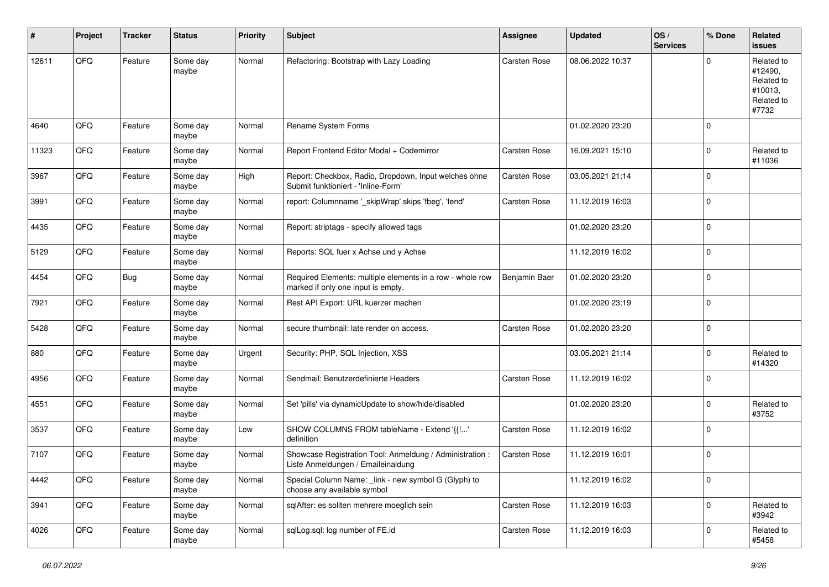| #     | Project | <b>Tracker</b> | <b>Status</b>     | <b>Priority</b> | <b>Subject</b>                                                                                  | <b>Assignee</b> | <b>Updated</b>   | OS/<br><b>Services</b> | % Done      | Related<br><b>issues</b>                                              |
|-------|---------|----------------|-------------------|-----------------|-------------------------------------------------------------------------------------------------|-----------------|------------------|------------------------|-------------|-----------------------------------------------------------------------|
| 12611 | QFQ     | Feature        | Some day<br>maybe | Normal          | Refactoring: Bootstrap with Lazy Loading                                                        | Carsten Rose    | 08.06.2022 10:37 |                        | $\Omega$    | Related to<br>#12490,<br>Related to<br>#10013,<br>Related to<br>#7732 |
| 4640  | QFQ     | Feature        | Some day<br>maybe | Normal          | Rename System Forms                                                                             |                 | 01.02.2020 23:20 |                        | $\mathbf 0$ |                                                                       |
| 11323 | QFQ     | Feature        | Some day<br>maybe | Normal          | Report Frontend Editor Modal + Codemirror                                                       | Carsten Rose    | 16.09.2021 15:10 |                        | 0           | Related to<br>#11036                                                  |
| 3967  | QFQ     | Feature        | Some day<br>maybe | High            | Report: Checkbox, Radio, Dropdown, Input welches ohne<br>Submit funktioniert - 'Inline-Form'    | Carsten Rose    | 03.05.2021 21:14 |                        | $\mathbf 0$ |                                                                       |
| 3991  | QFQ     | Feature        | Some day<br>maybe | Normal          | report: Columnname '_skipWrap' skips 'fbeg', 'fend'                                             | Carsten Rose    | 11.12.2019 16:03 |                        | 0           |                                                                       |
| 4435  | QFQ     | Feature        | Some day<br>maybe | Normal          | Report: striptags - specify allowed tags                                                        |                 | 01.02.2020 23:20 |                        | 0           |                                                                       |
| 5129  | QFQ     | Feature        | Some day<br>maybe | Normal          | Reports: SQL fuer x Achse und y Achse                                                           |                 | 11.12.2019 16:02 |                        | 0           |                                                                       |
| 4454  | QFQ     | Bug            | Some day<br>maybe | Normal          | Required Elements: multiple elements in a row - whole row<br>marked if only one input is empty. | Benjamin Baer   | 01.02.2020 23:20 |                        | $\mathbf 0$ |                                                                       |
| 7921  | QFQ     | Feature        | Some day<br>maybe | Normal          | Rest API Export: URL kuerzer machen                                                             |                 | 01.02.2020 23:19 |                        | $\mathbf 0$ |                                                                       |
| 5428  | QFQ     | Feature        | Some day<br>maybe | Normal          | secure thumbnail: late render on access.                                                        | Carsten Rose    | 01.02.2020 23:20 |                        | $\Omega$    |                                                                       |
| 880   | QFQ     | Feature        | Some day<br>maybe | Urgent          | Security: PHP, SQL Injection, XSS                                                               |                 | 03.05.2021 21:14 |                        | $\Omega$    | Related to<br>#14320                                                  |
| 4956  | QFQ     | Feature        | Some day<br>maybe | Normal          | Sendmail: Benutzerdefinierte Headers                                                            | Carsten Rose    | 11.12.2019 16:02 |                        | 0           |                                                                       |
| 4551  | QFQ     | Feature        | Some day<br>maybe | Normal          | Set 'pills' via dynamicUpdate to show/hide/disabled                                             |                 | 01.02.2020 23:20 |                        | $\mathbf 0$ | Related to<br>#3752                                                   |
| 3537  | QFQ     | Feature        | Some day<br>maybe | Low             | SHOW COLUMNS FROM tableName - Extend '{{!'<br>definition                                        | Carsten Rose    | 11.12.2019 16:02 |                        | 0           |                                                                       |
| 7107  | QFQ     | Feature        | Some day<br>maybe | Normal          | Showcase Registration Tool: Anmeldung / Administration :<br>Liste Anmeldungen / Emaileinaldung  | Carsten Rose    | 11.12.2019 16:01 |                        | $\mathbf 0$ |                                                                       |
| 4442  | QFG     | Feature        | Some day<br>maybe | Normal          | Special Column Name: _link - new symbol G (Glyph) to<br>choose any available symbol             |                 | 11.12.2019 16:02 |                        | 0           |                                                                       |
| 3941  | QFQ     | Feature        | Some day<br>maybe | Normal          | sqlAfter: es sollten mehrere moeglich sein                                                      | Carsten Rose    | 11.12.2019 16:03 |                        | 0           | Related to<br>#3942                                                   |
| 4026  | QFQ     | Feature        | Some day<br>maybe | Normal          | sqlLog.sql: log number of FE.id                                                                 | Carsten Rose    | 11.12.2019 16:03 |                        | 0           | Related to<br>#5458                                                   |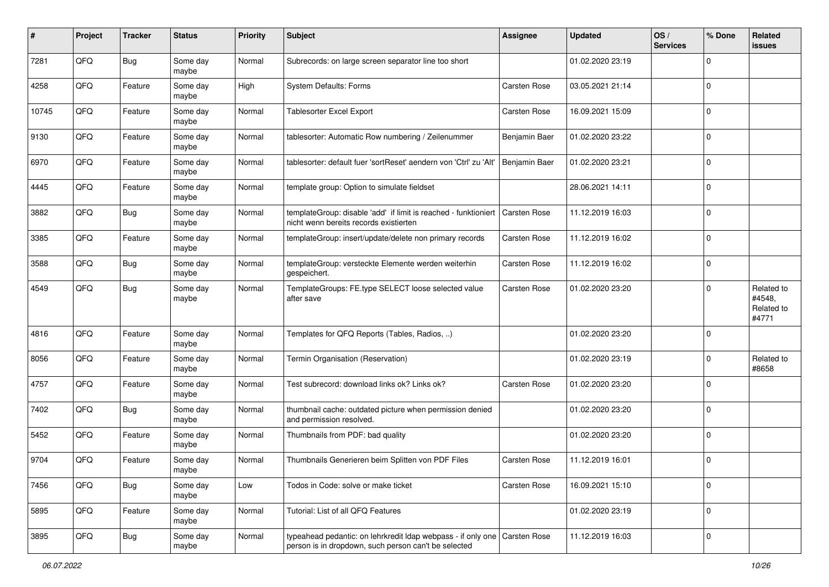| #     | Project | <b>Tracker</b> | <b>Status</b>     | <b>Priority</b> | <b>Subject</b>                                                                                                                      | Assignee            | <b>Updated</b>   | OS/<br><b>Services</b> | % Done      | Related<br>issues                           |
|-------|---------|----------------|-------------------|-----------------|-------------------------------------------------------------------------------------------------------------------------------------|---------------------|------------------|------------------------|-------------|---------------------------------------------|
| 7281  | QFQ     | Bug            | Some day<br>maybe | Normal          | Subrecords: on large screen separator line too short                                                                                |                     | 01.02.2020 23:19 |                        | $\Omega$    |                                             |
| 4258  | QFQ     | Feature        | Some day<br>maybe | High            | System Defaults: Forms                                                                                                              | Carsten Rose        | 03.05.2021 21:14 |                        | $\mathbf 0$ |                                             |
| 10745 | QFQ     | Feature        | Some day<br>maybe | Normal          | Tablesorter Excel Export                                                                                                            | Carsten Rose        | 16.09.2021 15:09 |                        | $\Omega$    |                                             |
| 9130  | QFQ     | Feature        | Some day<br>maybe | Normal          | tablesorter: Automatic Row numbering / Zeilenummer                                                                                  | Benjamin Baer       | 01.02.2020 23:22 |                        | $\mathbf 0$ |                                             |
| 6970  | QFQ     | Feature        | Some day<br>maybe | Normal          | tablesorter: default fuer 'sortReset' aendern von 'Ctrl' zu 'Alt'                                                                   | Benjamin Baer       | 01.02.2020 23:21 |                        | $\mathbf 0$ |                                             |
| 4445  | QFQ     | Feature        | Some day<br>maybe | Normal          | template group: Option to simulate fieldset                                                                                         |                     | 28.06.2021 14:11 |                        | $\Omega$    |                                             |
| 3882  | QFQ     | Bug            | Some day<br>maybe | Normal          | templateGroup: disable 'add' if limit is reached - funktioniert<br>nicht wenn bereits records existierten                           | <b>Carsten Rose</b> | 11.12.2019 16:03 |                        | $\Omega$    |                                             |
| 3385  | QFQ     | Feature        | Some day<br>maybe | Normal          | templateGroup: insert/update/delete non primary records                                                                             | Carsten Rose        | 11.12.2019 16:02 |                        | $\mathbf 0$ |                                             |
| 3588  | QFQ     | Bug            | Some day<br>maybe | Normal          | templateGroup: versteckte Elemente werden weiterhin<br>gespeichert.                                                                 | Carsten Rose        | 11.12.2019 16:02 |                        | 0           |                                             |
| 4549  | QFQ     | <b>Bug</b>     | Some day<br>maybe | Normal          | TemplateGroups: FE.type SELECT loose selected value<br>after save                                                                   | Carsten Rose        | 01.02.2020 23:20 |                        | 0           | Related to<br>#4548,<br>Related to<br>#4771 |
| 4816  | QFQ     | Feature        | Some day<br>maybe | Normal          | Templates for QFQ Reports (Tables, Radios, )                                                                                        |                     | 01.02.2020 23:20 |                        | 0           |                                             |
| 8056  | QFQ     | Feature        | Some day<br>maybe | Normal          | Termin Organisation (Reservation)                                                                                                   |                     | 01.02.2020 23:19 |                        | 0           | Related to<br>#8658                         |
| 4757  | QFQ     | Feature        | Some day<br>maybe | Normal          | Test subrecord: download links ok? Links ok?                                                                                        | Carsten Rose        | 01.02.2020 23:20 |                        | $\Omega$    |                                             |
| 7402  | QFQ     | Bug            | Some day<br>maybe | Normal          | thumbnail cache: outdated picture when permission denied<br>and permission resolved.                                                |                     | 01.02.2020 23:20 |                        | $\Omega$    |                                             |
| 5452  | QFQ     | Feature        | Some day<br>maybe | Normal          | Thumbnails from PDF: bad quality                                                                                                    |                     | 01.02.2020 23:20 |                        | $\mathbf 0$ |                                             |
| 9704  | QFQ     | Feature        | Some day<br>maybe | Normal          | Thumbnails Generieren beim Splitten von PDF Files                                                                                   | Carsten Rose        | 11.12.2019 16:01 |                        | $\Omega$    |                                             |
| 7456  | QFQ     | Bug            | Some day<br>maybe | Low             | Todos in Code: solve or make ticket                                                                                                 | Carsten Rose        | 16.09.2021 15:10 |                        | 0           |                                             |
| 5895  | QFQ     | Feature        | Some day<br>maybe | Normal          | Tutorial: List of all QFQ Features                                                                                                  |                     | 01.02.2020 23:19 |                        | $\mathbf 0$ |                                             |
| 3895  | QFQ     | <b>Bug</b>     | Some day<br>maybe | Normal          | typeahead pedantic: on lehrkredit Idap webpass - if only one   Carsten Rose<br>person is in dropdown, such person can't be selected |                     | 11.12.2019 16:03 |                        | 0           |                                             |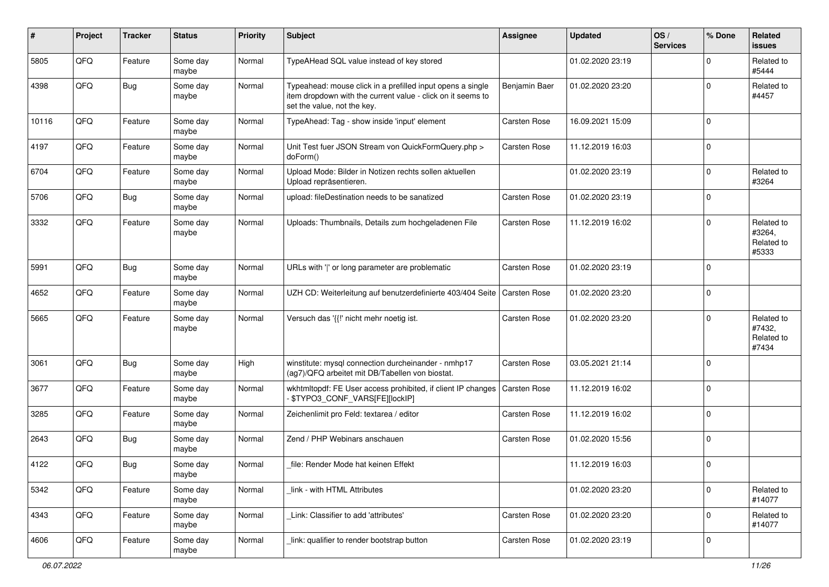| #     | Project | <b>Tracker</b> | <b>Status</b>     | <b>Priority</b> | <b>Subject</b>                                                                                                                                           | <b>Assignee</b>     | <b>Updated</b>   | OS/<br><b>Services</b> | % Done      | Related<br><b>issues</b>                    |
|-------|---------|----------------|-------------------|-----------------|----------------------------------------------------------------------------------------------------------------------------------------------------------|---------------------|------------------|------------------------|-------------|---------------------------------------------|
| 5805  | QFQ     | Feature        | Some day<br>maybe | Normal          | TypeAHead SQL value instead of key stored                                                                                                                |                     | 01.02.2020 23:19 |                        | $\Omega$    | Related to<br>#5444                         |
| 4398  | QFQ     | Bug            | Some day<br>maybe | Normal          | Typeahead: mouse click in a prefilled input opens a single<br>item dropdown with the current value - click on it seems to<br>set the value, not the key. | Benjamin Baer       | 01.02.2020 23:20 |                        | $\mathbf 0$ | Related to<br>#4457                         |
| 10116 | QFQ     | Feature        | Some day<br>maybe | Normal          | TypeAhead: Tag - show inside 'input' element                                                                                                             | Carsten Rose        | 16.09.2021 15:09 |                        | 0           |                                             |
| 4197  | QFQ     | Feature        | Some day<br>maybe | Normal          | Unit Test fuer JSON Stream von QuickFormQuery.php ><br>doForm()                                                                                          | <b>Carsten Rose</b> | 11.12.2019 16:03 |                        | $\Omega$    |                                             |
| 6704  | QFQ     | Feature        | Some day<br>maybe | Normal          | Upload Mode: Bilder in Notizen rechts sollen aktuellen<br>Upload repräsentieren.                                                                         |                     | 01.02.2020 23:19 |                        | $\mathbf 0$ | Related to<br>#3264                         |
| 5706  | QFQ     | <b>Bug</b>     | Some day<br>maybe | Normal          | upload: fileDestination needs to be sanatized                                                                                                            | <b>Carsten Rose</b> | 01.02.2020 23:19 |                        | $\mathbf 0$ |                                             |
| 3332  | QFQ     | Feature        | Some day<br>maybe | Normal          | Uploads: Thumbnails, Details zum hochgeladenen File                                                                                                      | Carsten Rose        | 11.12.2019 16:02 |                        | $\mathbf 0$ | Related to<br>#3264,<br>Related to<br>#5333 |
| 5991  | QFQ     | Bug            | Some day<br>maybe | Normal          | URLs with ' ' or long parameter are problematic                                                                                                          | <b>Carsten Rose</b> | 01.02.2020 23:19 |                        | $\Omega$    |                                             |
| 4652  | QFQ     | Feature        | Some day<br>maybe | Normal          | UZH CD: Weiterleitung auf benutzerdefinierte 403/404 Seite                                                                                               | <b>Carsten Rose</b> | 01.02.2020 23:20 |                        | l 0         |                                             |
| 5665  | QFQ     | Feature        | Some day<br>maybe | Normal          | Versuch das '{{!' nicht mehr noetig ist.                                                                                                                 | Carsten Rose        | 01.02.2020 23:20 |                        | $\Omega$    | Related to<br>#7432,<br>Related to<br>#7434 |
| 3061  | QFQ     | Bug            | Some day<br>maybe | High            | winstitute: mysql connection durcheinander - nmhp17<br>(ag7)/QFQ arbeitet mit DB/Tabellen von biostat.                                                   | <b>Carsten Rose</b> | 03.05.2021 21:14 |                        | $\Omega$    |                                             |
| 3677  | QFQ     | Feature        | Some day<br>maybe | Normal          | wkhtmltopdf: FE User access prohibited, if client IP changes<br>\$TYPO3_CONF_VARS[FE][lockIP]                                                            | Carsten Rose        | 11.12.2019 16:02 |                        | $\Omega$    |                                             |
| 3285  | QFQ     | Feature        | Some day<br>maybe | Normal          | Zeichenlimit pro Feld: textarea / editor                                                                                                                 | Carsten Rose        | 11.12.2019 16:02 |                        | $\mathbf 0$ |                                             |
| 2643  | QFQ     | Bug            | Some day<br>maybe | Normal          | Zend / PHP Webinars anschauen                                                                                                                            | <b>Carsten Rose</b> | 01.02.2020 15:56 |                        | $\Omega$    |                                             |
| 4122  | QFQ     | Bug            | Some day<br>maybe | Normal          | file: Render Mode hat keinen Effekt                                                                                                                      |                     | 11.12.2019 16:03 |                        | 0           |                                             |
| 5342  | QFQ     | Feature        | Some day<br>maybe | Normal          | link - with HTML Attributes                                                                                                                              |                     | 01.02.2020 23:20 |                        | $\mathbf 0$ | Related to<br>#14077                        |
| 4343  | QFQ     | Feature        | Some day<br>maybe | Normal          | Link: Classifier to add 'attributes'                                                                                                                     | Carsten Rose        | 01.02.2020 23:20 |                        | $\mathbf 0$ | Related to<br>#14077                        |
| 4606  | QFQ     | Feature        | Some day<br>maybe | Normal          | link: qualifier to render bootstrap button                                                                                                               | Carsten Rose        | 01.02.2020 23:19 |                        | 0           |                                             |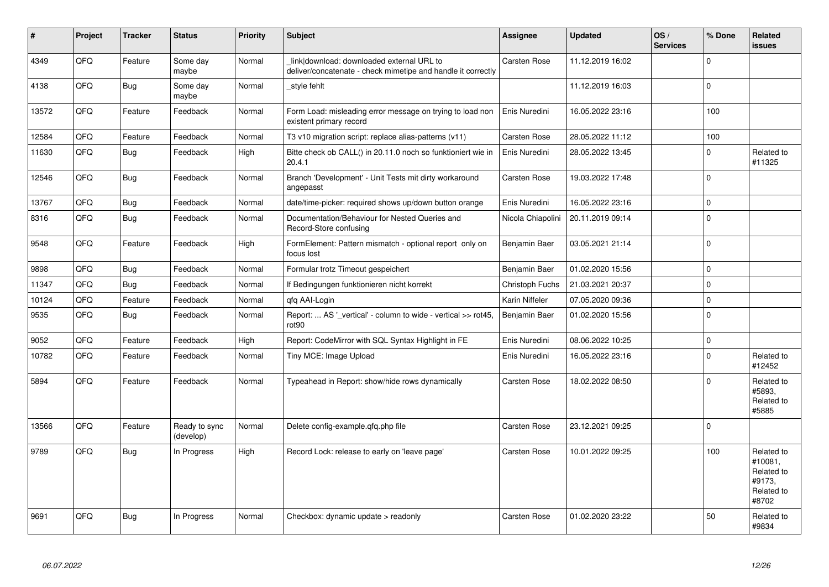| $\pmb{\#}$ | Project | <b>Tracker</b> | <b>Status</b>              | <b>Priority</b> | <b>Subject</b>                                                                                            | Assignee            | <b>Updated</b>   | OS/<br><b>Services</b> | % Done   | Related<br><b>issues</b>                                             |
|------------|---------|----------------|----------------------------|-----------------|-----------------------------------------------------------------------------------------------------------|---------------------|------------------|------------------------|----------|----------------------------------------------------------------------|
| 4349       | QFQ     | Feature        | Some day<br>maybe          | Normal          | link download: downloaded external URL to<br>deliver/concatenate - check mimetipe and handle it correctly | <b>Carsten Rose</b> | 11.12.2019 16:02 |                        | $\Omega$ |                                                                      |
| 4138       | QFQ     | Bug            | Some day<br>maybe          | Normal          | style fehlt                                                                                               |                     | 11.12.2019 16:03 |                        | $\Omega$ |                                                                      |
| 13572      | QFQ     | Feature        | Feedback                   | Normal          | Form Load: misleading error message on trying to load non<br>existent primary record                      | Enis Nuredini       | 16.05.2022 23:16 |                        | 100      |                                                                      |
| 12584      | QFQ     | Feature        | Feedback                   | Normal          | T3 v10 migration script: replace alias-patterns (v11)                                                     | Carsten Rose        | 28.05.2022 11:12 |                        | 100      |                                                                      |
| 11630      | QFQ     | <b>Bug</b>     | Feedback                   | High            | Bitte check ob CALL() in 20.11.0 noch so funktioniert wie in<br>20.4.1                                    | Enis Nuredini       | 28.05.2022 13:45 |                        | $\Omega$ | Related to<br>#11325                                                 |
| 12546      | QFQ     | <b>Bug</b>     | Feedback                   | Normal          | Branch 'Development' - Unit Tests mit dirty workaround<br>angepasst                                       | Carsten Rose        | 19.03.2022 17:48 |                        | $\Omega$ |                                                                      |
| 13767      | QFQ     | Bug            | Feedback                   | Normal          | date/time-picker: required shows up/down button orange                                                    | Enis Nuredini       | 16.05.2022 23:16 |                        | 0        |                                                                      |
| 8316       | QFQ     | Bug            | Feedback                   | Normal          | Documentation/Behaviour for Nested Queries and<br>Record-Store confusing                                  | Nicola Chiapolini   | 20.11.2019 09:14 |                        | $\Omega$ |                                                                      |
| 9548       | QFQ     | Feature        | Feedback                   | High            | FormElement: Pattern mismatch - optional report only on<br>focus lost                                     | Benjamin Baer       | 03.05.2021 21:14 |                        | $\Omega$ |                                                                      |
| 9898       | QFQ     | Bug            | Feedback                   | Normal          | Formular trotz Timeout gespeichert                                                                        | Benjamin Baer       | 01.02.2020 15:56 |                        | $\Omega$ |                                                                      |
| 11347      | QFQ     | <b>Bug</b>     | Feedback                   | Normal          | If Bedingungen funktionieren nicht korrekt                                                                | Christoph Fuchs     | 21.03.2021 20:37 |                        | $\Omega$ |                                                                      |
| 10124      | QFQ     | Feature        | Feedback                   | Normal          | qfq AAI-Login                                                                                             | Karin Niffeler      | 07.05.2020 09:36 |                        | 0        |                                                                      |
| 9535       | QFQ     | <b>Bug</b>     | Feedback                   | Normal          | Report:  AS ' vertical' - column to wide - vertical >> rot45,<br>rot <sub>90</sub>                        | Benjamin Baer       | 01.02.2020 15:56 |                        | $\Omega$ |                                                                      |
| 9052       | QFQ     | Feature        | Feedback                   | High            | Report: CodeMirror with SQL Syntax Highlight in FE                                                        | Enis Nuredini       | 08.06.2022 10:25 |                        | $\Omega$ |                                                                      |
| 10782      | QFQ     | Feature        | Feedback                   | Normal          | Tiny MCE: Image Upload                                                                                    | Enis Nuredini       | 16.05.2022 23:16 |                        | $\Omega$ | Related to<br>#12452                                                 |
| 5894       | QFQ     | Feature        | Feedback                   | Normal          | Typeahead in Report: show/hide rows dynamically                                                           | Carsten Rose        | 18.02.2022 08:50 |                        | $\Omega$ | Related to<br>#5893,<br>Related to<br>#5885                          |
| 13566      | QFQ     | Feature        | Ready to sync<br>(develop) | Normal          | Delete config-example.qfq.php file                                                                        | Carsten Rose        | 23.12.2021 09:25 |                        | $\Omega$ |                                                                      |
| 9789       | QFQ     | <b>Bug</b>     | In Progress                | High            | Record Lock: release to early on 'leave page'                                                             | Carsten Rose        | 10.01.2022 09:25 |                        | 100      | Related to<br>#10081,<br>Related to<br>#9173,<br>Related to<br>#8702 |
| 9691       | QFQ     | <b>Bug</b>     | In Progress                | Normal          | Checkbox: dynamic update > readonly                                                                       | <b>Carsten Rose</b> | 01.02.2020 23:22 |                        | 50       | Related to<br>#9834                                                  |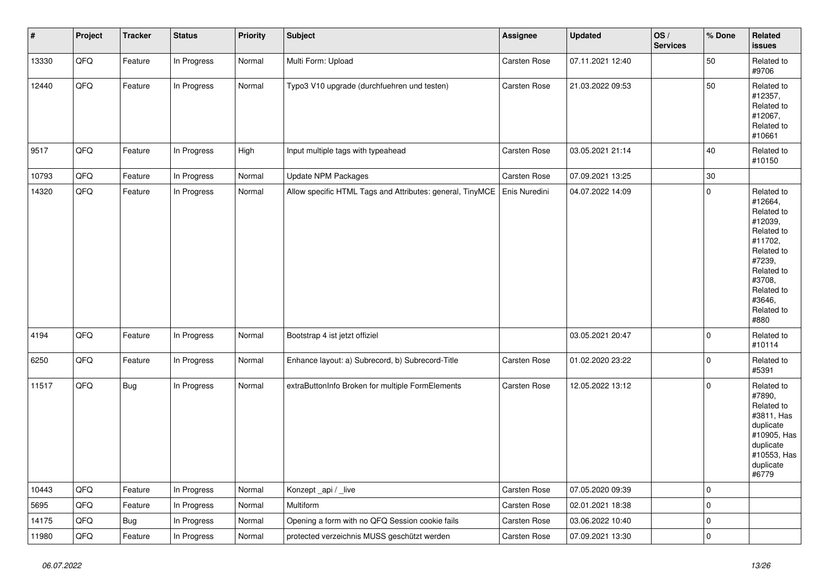| $\vert$ # | Project | <b>Tracker</b> | <b>Status</b> | <b>Priority</b> | <b>Subject</b>                                            | <b>Assignee</b> | <b>Updated</b>   | OS/<br><b>Services</b> | % Done      | Related<br><b>issues</b>                                                                                                                                              |
|-----------|---------|----------------|---------------|-----------------|-----------------------------------------------------------|-----------------|------------------|------------------------|-------------|-----------------------------------------------------------------------------------------------------------------------------------------------------------------------|
| 13330     | QFQ     | Feature        | In Progress   | Normal          | Multi Form: Upload                                        | Carsten Rose    | 07.11.2021 12:40 |                        | 50          | Related to<br>#9706                                                                                                                                                   |
| 12440     | QFQ     | Feature        | In Progress   | Normal          | Typo3 V10 upgrade (durchfuehren und testen)               | Carsten Rose    | 21.03.2022 09:53 |                        | 50          | Related to<br>#12357,<br>Related to<br>#12067,<br>Related to<br>#10661                                                                                                |
| 9517      | QFQ     | Feature        | In Progress   | High            | Input multiple tags with typeahead                        | Carsten Rose    | 03.05.2021 21:14 |                        | 40          | Related to<br>#10150                                                                                                                                                  |
| 10793     | QFQ     | Feature        | In Progress   | Normal          | Update NPM Packages                                       | Carsten Rose    | 07.09.2021 13:25 |                        | 30          |                                                                                                                                                                       |
| 14320     | QFQ     | Feature        | In Progress   | Normal          | Allow specific HTML Tags and Attributes: general, TinyMCE | Enis Nuredini   | 04.07.2022 14:09 |                        | $\mathbf 0$ | Related to<br>#12664,<br>Related to<br>#12039,<br>Related to<br>#11702,<br>Related to<br>#7239,<br>Related to<br>#3708,<br>Related to<br>#3646,<br>Related to<br>#880 |
| 4194      | QFQ     | Feature        | In Progress   | Normal          | Bootstrap 4 ist jetzt offiziel                            |                 | 03.05.2021 20:47 |                        | $\pmb{0}$   | Related to<br>#10114                                                                                                                                                  |
| 6250      | QFQ     | Feature        | In Progress   | Normal          | Enhance layout: a) Subrecord, b) Subrecord-Title          | Carsten Rose    | 01.02.2020 23:22 |                        | $\pmb{0}$   | Related to<br>#5391                                                                                                                                                   |
| 11517     | QFQ     | Bug            | In Progress   | Normal          | extraButtonInfo Broken for multiple FormElements          | Carsten Rose    | 12.05.2022 13:12 |                        | $\mathbf 0$ | Related to<br>#7890,<br>Related to<br>#3811, Has<br>duplicate<br>#10905, Has<br>duplicate<br>#10553, Has<br>duplicate<br>#6779                                        |
| 10443     | QFQ     | Feature        | In Progress   | Normal          | Konzept_api / _live                                       | Carsten Rose    | 07.05.2020 09:39 |                        | $\mathbf 0$ |                                                                                                                                                                       |
| 5695      | QFQ     | Feature        | In Progress   | Normal          | Multiform                                                 | Carsten Rose    | 02.01.2021 18:38 |                        | $\mathbf 0$ |                                                                                                                                                                       |
| 14175     | QFQ     | <b>Bug</b>     | In Progress   | Normal          | Opening a form with no QFQ Session cookie fails           | Carsten Rose    | 03.06.2022 10:40 |                        | $\pmb{0}$   |                                                                                                                                                                       |
| 11980     | QFQ     | Feature        | In Progress   | Normal          | protected verzeichnis MUSS geschützt werden               | Carsten Rose    | 07.09.2021 13:30 |                        | $\mathbf 0$ |                                                                                                                                                                       |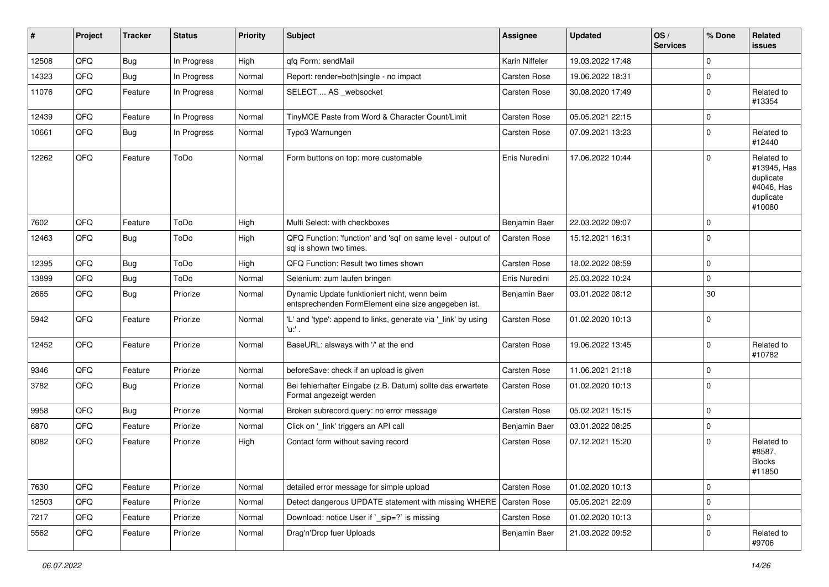| #     | Project | <b>Tracker</b> | <b>Status</b> | <b>Priority</b> | <b>Subject</b>                                                                                      | <b>Assignee</b>     | <b>Updated</b>   | OS/<br><b>Services</b> | % Done      | Related<br><b>issues</b>                                                    |
|-------|---------|----------------|---------------|-----------------|-----------------------------------------------------------------------------------------------------|---------------------|------------------|------------------------|-------------|-----------------------------------------------------------------------------|
| 12508 | QFQ     | Bug            | In Progress   | High            | qfq Form: sendMail                                                                                  | Karin Niffeler      | 19.03.2022 17:48 |                        | $\mathbf 0$ |                                                                             |
| 14323 | QFQ     | Bug            | In Progress   | Normal          | Report: render=both single - no impact                                                              | Carsten Rose        | 19.06.2022 18:31 |                        | $\mathbf 0$ |                                                                             |
| 11076 | QFQ     | Feature        | In Progress   | Normal          | SELECT  AS _websocket                                                                               | Carsten Rose        | 30.08.2020 17:49 |                        | $\mathbf 0$ | Related to<br>#13354                                                        |
| 12439 | QFQ     | Feature        | In Progress   | Normal          | TinyMCE Paste from Word & Character Count/Limit                                                     | Carsten Rose        | 05.05.2021 22:15 |                        | $\mathbf 0$ |                                                                             |
| 10661 | QFQ     | Bug            | In Progress   | Normal          | Typo3 Warnungen                                                                                     | Carsten Rose        | 07.09.2021 13:23 |                        | $\mathbf 0$ | Related to<br>#12440                                                        |
| 12262 | QFQ     | Feature        | ToDo          | Normal          | Form buttons on top: more customable                                                                | Enis Nuredini       | 17.06.2022 10:44 |                        | $\Omega$    | Related to<br>#13945, Has<br>duplicate<br>#4046, Has<br>duplicate<br>#10080 |
| 7602  | QFQ     | Feature        | ToDo          | High            | Multi Select: with checkboxes                                                                       | Benjamin Baer       | 22.03.2022 09:07 |                        | $\Omega$    |                                                                             |
| 12463 | QFQ     | Bug            | ToDo          | High            | QFQ Function: 'function' and 'sql' on same level - output of<br>sql is shown two times.             | Carsten Rose        | 15.12.2021 16:31 |                        | $\mathbf 0$ |                                                                             |
| 12395 | QFQ     | Bug            | ToDo          | High            | QFQ Function: Result two times shown                                                                | Carsten Rose        | 18.02.2022 08:59 |                        | $\mathbf 0$ |                                                                             |
| 13899 | QFQ     | <b>Bug</b>     | ToDo          | Normal          | Selenium: zum laufen bringen                                                                        | Enis Nuredini       | 25.03.2022 10:24 |                        | $\mathbf 0$ |                                                                             |
| 2665  | QFQ     | Bug            | Priorize      | Normal          | Dynamic Update funktioniert nicht, wenn beim<br>entsprechenden FormElement eine size angegeben ist. | Benjamin Baer       | 03.01.2022 08:12 |                        | 30          |                                                                             |
| 5942  | QFQ     | Feature        | Priorize      | Normal          | 'L' and 'type': append to links, generate via '_link' by using<br>'u:' .                            | Carsten Rose        | 01.02.2020 10:13 |                        | $\mathbf 0$ |                                                                             |
| 12452 | QFQ     | Feature        | Priorize      | Normal          | BaseURL: alsways with '/' at the end                                                                | Carsten Rose        | 19.06.2022 13:45 |                        | $\mathbf 0$ | Related to<br>#10782                                                        |
| 9346  | QFQ     | Feature        | Priorize      | Normal          | beforeSave: check if an upload is given                                                             | Carsten Rose        | 11.06.2021 21:18 |                        | $\mathbf 0$ |                                                                             |
| 3782  | QFQ     | Bug            | Priorize      | Normal          | Bei fehlerhafter Eingabe (z.B. Datum) sollte das erwartete<br>Format angezeigt werden               | Carsten Rose        | 01.02.2020 10:13 |                        | $\Omega$    |                                                                             |
| 9958  | QFQ     | Bug            | Priorize      | Normal          | Broken subrecord query: no error message                                                            | Carsten Rose        | 05.02.2021 15:15 |                        | $\mathbf 0$ |                                                                             |
| 6870  | QFQ     | Feature        | Priorize      | Normal          | Click on '_link' triggers an API call                                                               | Benjamin Baer       | 03.01.2022 08:25 |                        | $\mathbf 0$ |                                                                             |
| 8082  | QFQ     | Feature        | Priorize      | High            | Contact form without saving record                                                                  | Carsten Rose        | 07.12.2021 15:20 |                        | $\Omega$    | Related to<br>#8587,<br><b>Blocks</b><br>#11850                             |
| 7630  | QFQ     | Feature        | Priorize      | Normal          | detailed error message for simple upload                                                            | Carsten Rose        | 01.02.2020 10:13 |                        | $\mathbf 0$ |                                                                             |
| 12503 | QFQ     | Feature        | Priorize      | Normal          | Detect dangerous UPDATE statement with missing WHERE                                                | <b>Carsten Rose</b> | 05.05.2021 22:09 |                        | $\mathbf 0$ |                                                                             |
| 7217  | QFQ     | Feature        | Priorize      | Normal          | Download: notice User if `_sip=?` is missing                                                        | Carsten Rose        | 01.02.2020 10:13 |                        | $\mathbf 0$ |                                                                             |
| 5562  | QFQ     | Feature        | Priorize      | Normal          | Drag'n'Drop fuer Uploads                                                                            | Benjamin Baer       | 21.03.2022 09:52 |                        | $\mathbf 0$ | Related to<br>#9706                                                         |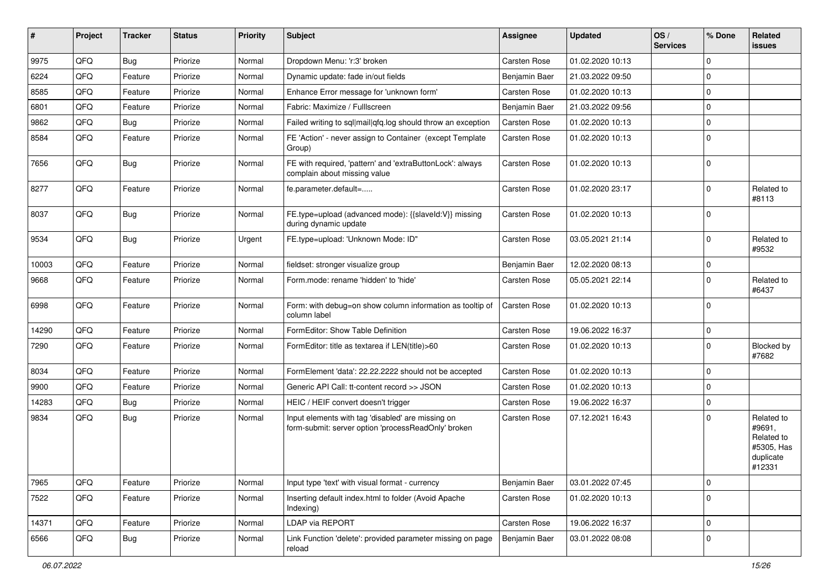| #     | Project | <b>Tracker</b> | <b>Status</b> | <b>Priority</b> | <b>Subject</b>                                                                                           | Assignee      | <b>Updated</b>   | OS/<br><b>Services</b> | % Done      | Related<br><b>issues</b>                                                |
|-------|---------|----------------|---------------|-----------------|----------------------------------------------------------------------------------------------------------|---------------|------------------|------------------------|-------------|-------------------------------------------------------------------------|
| 9975  | QFQ     | Bug            | Priorize      | Normal          | Dropdown Menu: 'r:3' broken                                                                              | Carsten Rose  | 01.02.2020 10:13 |                        | $\Omega$    |                                                                         |
| 6224  | QFQ     | Feature        | Priorize      | Normal          | Dynamic update: fade in/out fields                                                                       | Benjamin Baer | 21.03.2022 09:50 |                        | $\mathbf 0$ |                                                                         |
| 8585  | QFQ     | Feature        | Priorize      | Normal          | Enhance Error message for 'unknown form'                                                                 | Carsten Rose  | 01.02.2020 10:13 |                        | $\Omega$    |                                                                         |
| 6801  | QFQ     | Feature        | Priorize      | Normal          | Fabric: Maximize / FullIscreen                                                                           | Benjamin Baer | 21.03.2022 09:56 |                        | $\mathbf 0$ |                                                                         |
| 9862  | QFQ     | <b>Bug</b>     | Priorize      | Normal          | Failed writing to sql mail qfq.log should throw an exception                                             | Carsten Rose  | 01.02.2020 10:13 |                        | $\Omega$    |                                                                         |
| 8584  | QFQ     | Feature        | Priorize      | Normal          | FE 'Action' - never assign to Container (except Template<br>Group)                                       | Carsten Rose  | 01.02.2020 10:13 |                        | $\Omega$    |                                                                         |
| 7656  | QFQ     | Bug            | Priorize      | Normal          | FE with required, 'pattern' and 'extraButtonLock': always<br>complain about missing value                | Carsten Rose  | 01.02.2020 10:13 |                        | $\Omega$    |                                                                         |
| 8277  | QFQ     | Feature        | Priorize      | Normal          | fe.parameter.default=                                                                                    | Carsten Rose  | 01.02.2020 23:17 |                        | $\mathbf 0$ | Related to<br>#8113                                                     |
| 8037  | QFQ     | Bug            | Priorize      | Normal          | FE.type=upload (advanced mode): {{slaveId:V}} missing<br>during dynamic update                           | Carsten Rose  | 01.02.2020 10:13 |                        | 0           |                                                                         |
| 9534  | QFQ     | Bug            | Priorize      | Urgent          | FE.type=upload: 'Unknown Mode: ID"                                                                       | Carsten Rose  | 03.05.2021 21:14 |                        | $\Omega$    | Related to<br>#9532                                                     |
| 10003 | QFQ     | Feature        | Priorize      | Normal          | fieldset: stronger visualize group                                                                       | Benjamin Baer | 12.02.2020 08:13 |                        | $\mathbf 0$ |                                                                         |
| 9668  | QFQ     | Feature        | Priorize      | Normal          | Form.mode: rename 'hidden' to 'hide'                                                                     | Carsten Rose  | 05.05.2021 22:14 |                        | $\Omega$    | Related to<br>#6437                                                     |
| 6998  | QFQ     | Feature        | Priorize      | Normal          | Form: with debug=on show column information as tooltip of<br>column label                                | Carsten Rose  | 01.02.2020 10:13 |                        | $\Omega$    |                                                                         |
| 14290 | QFQ     | Feature        | Priorize      | Normal          | FormEditor: Show Table Definition                                                                        | Carsten Rose  | 19.06.2022 16:37 |                        | $\mathbf 0$ |                                                                         |
| 7290  | QFQ     | Feature        | Priorize      | Normal          | FormEditor: title as textarea if LEN(title)>60                                                           | Carsten Rose  | 01.02.2020 10:13 |                        | $\Omega$    | Blocked by<br>#7682                                                     |
| 8034  | QFQ     | Feature        | Priorize      | Normal          | FormElement 'data': 22.22.2222 should not be accepted                                                    | Carsten Rose  | 01.02.2020 10:13 |                        | $\mathbf 0$ |                                                                         |
| 9900  | QFQ     | Feature        | Priorize      | Normal          | Generic API Call: tt-content record >> JSON                                                              | Carsten Rose  | 01.02.2020 10:13 |                        | $\mathbf 0$ |                                                                         |
| 14283 | QFQ     | Bug            | Priorize      | Normal          | HEIC / HEIF convert doesn't trigger                                                                      | Carsten Rose  | 19.06.2022 16:37 |                        | $\mathbf 0$ |                                                                         |
| 9834  | QFQ     | Bug            | Priorize      | Normal          | Input elements with tag 'disabled' are missing on<br>form-submit: server option 'processReadOnly' broken | Carsten Rose  | 07.12.2021 16:43 |                        | $\Omega$    | Related to<br>#9691,<br>Related to<br>#5305, Has<br>duplicate<br>#12331 |
| 7965  | QFQ     | Feature        | Priorize      | Normal          | Input type 'text' with visual format - currency                                                          | Benjamin Baer | 03.01.2022 07:45 |                        | $\mathbf 0$ |                                                                         |
| 7522  | QFQ     | Feature        | Priorize      | Normal          | Inserting default index.html to folder (Avoid Apache<br>Indexing)                                        | Carsten Rose  | 01.02.2020 10:13 |                        | $\mathbf 0$ |                                                                         |
| 14371 | QFQ     | Feature        | Priorize      | Normal          | LDAP via REPORT                                                                                          | Carsten Rose  | 19.06.2022 16:37 |                        | $\mathbf 0$ |                                                                         |
| 6566  | QFQ     | Bug            | Priorize      | Normal          | Link Function 'delete': provided parameter missing on page<br>reload                                     | Benjamin Baer | 03.01.2022 08:08 |                        | 0           |                                                                         |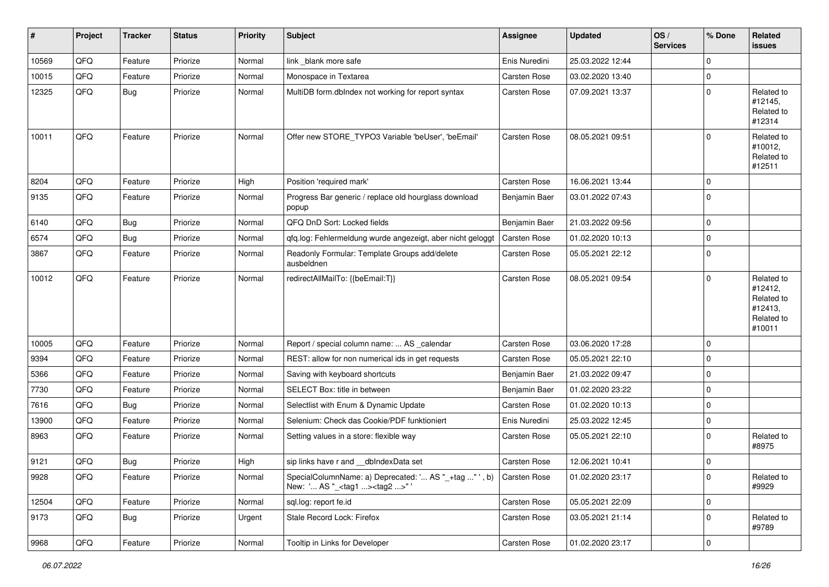| $\vert$ # | Project | <b>Tracker</b> | <b>Status</b> | <b>Priority</b> | <b>Subject</b>                                                                                                   | Assignee      | Updated          | OS/<br><b>Services</b> | % Done      | Related<br><b>issues</b>                                               |
|-----------|---------|----------------|---------------|-----------------|------------------------------------------------------------------------------------------------------------------|---------------|------------------|------------------------|-------------|------------------------------------------------------------------------|
| 10569     | QFQ     | Feature        | Priorize      | Normal          | link blank more safe                                                                                             | Enis Nuredini | 25.03.2022 12:44 |                        | $\Omega$    |                                                                        |
| 10015     | QFQ     | Feature        | Priorize      | Normal          | Monospace in Textarea                                                                                            | Carsten Rose  | 03.02.2020 13:40 |                        | 0           |                                                                        |
| 12325     | QFQ     | <b>Bug</b>     | Priorize      | Normal          | MultiDB form.dblndex not working for report syntax                                                               | Carsten Rose  | 07.09.2021 13:37 |                        | $\Omega$    | Related to<br>#12145,<br>Related to<br>#12314                          |
| 10011     | QFQ     | Feature        | Priorize      | Normal          | Offer new STORE_TYPO3 Variable 'beUser', 'beEmail'                                                               | Carsten Rose  | 08.05.2021 09:51 |                        | $\Omega$    | Related to<br>#10012,<br>Related to<br>#12511                          |
| 8204      | QFQ     | Feature        | Priorize      | High            | Position 'required mark'                                                                                         | Carsten Rose  | 16.06.2021 13:44 |                        | 0           |                                                                        |
| 9135      | QFQ     | Feature        | Priorize      | Normal          | Progress Bar generic / replace old hourglass download<br>popup                                                   | Benjamin Baer | 03.01.2022 07:43 |                        | $\Omega$    |                                                                        |
| 6140      | QFQ     | Bug            | Priorize      | Normal          | QFQ DnD Sort: Locked fields                                                                                      | Benjamin Baer | 21.03.2022 09:56 |                        | $\Omega$    |                                                                        |
| 6574      | QFQ     | Bug            | Priorize      | Normal          | qfq.log: Fehlermeldung wurde angezeigt, aber nicht geloggt                                                       | Carsten Rose  | 01.02.2020 10:13 |                        | $\mathbf 0$ |                                                                        |
| 3867      | QFQ     | Feature        | Priorize      | Normal          | Readonly Formular: Template Groups add/delete<br>ausbeldnen                                                      | Carsten Rose  | 05.05.2021 22:12 |                        | 0           |                                                                        |
| 10012     | QFQ     | Feature        | Priorize      | Normal          | redirectAllMailTo: {{beEmail:T}}                                                                                 | Carsten Rose  | 08.05.2021 09:54 |                        | $\Omega$    | Related to<br>#12412,<br>Related to<br>#12413,<br>Related to<br>#10011 |
| 10005     | QFQ     | Feature        | Priorize      | Normal          | Report / special column name:  AS _calendar                                                                      | Carsten Rose  | 03.06.2020 17:28 |                        | $\mathbf 0$ |                                                                        |
| 9394      | QFQ     | Feature        | Priorize      | Normal          | REST: allow for non numerical ids in get requests                                                                | Carsten Rose  | 05.05.2021 22:10 |                        | 0           |                                                                        |
| 5366      | QFQ     | Feature        | Priorize      | Normal          | Saving with keyboard shortcuts                                                                                   | Benjamin Baer | 21.03.2022 09:47 |                        | 0           |                                                                        |
| 7730      | QFQ     | Feature        | Priorize      | Normal          | SELECT Box: title in between                                                                                     | Benjamin Baer | 01.02.2020 23:22 |                        | $\mathbf 0$ |                                                                        |
| 7616      | QFQ     | <b>Bug</b>     | Priorize      | Normal          | Selectlist with Enum & Dynamic Update                                                                            | Carsten Rose  | 01.02.2020 10:13 |                        | $\mathbf 0$ |                                                                        |
| 13900     | QFQ     | Feature        | Priorize      | Normal          | Selenium: Check das Cookie/PDF funktioniert                                                                      | Enis Nuredini | 25.03.2022 12:45 |                        | $\mathbf 0$ |                                                                        |
| 8963      | QFQ     | Feature        | Priorize      | Normal          | Setting values in a store: flexible way                                                                          | Carsten Rose  | 05.05.2021 22:10 |                        | $\Omega$    | Related to<br>#8975                                                    |
| 9121      | QFQ     | Bug            | Priorize      | High            | sip links have r and __dbIndexData set                                                                           | Carsten Rose  | 12.06.2021 10:41 |                        | $\mathbf 0$ |                                                                        |
| 9928      | QFQ     | Feature        | Priorize      | Normal          | SpecialColumnName: a) Deprecated: ' AS "_+tag " ', b) Carsten Rose<br>New: ' AS "_ <tag1><tag2>" '</tag2></tag1> |               | 01.02.2020 23:17 |                        | $\mathbf 0$ | Related to<br>#9929                                                    |
| 12504     | QFQ     | Feature        | Priorize      | Normal          | sql.log: report fe.id                                                                                            | Carsten Rose  | 05.05.2021 22:09 |                        | $\mathbf 0$ |                                                                        |
| 9173      | QFQ     | Bug            | Priorize      | Urgent          | Stale Record Lock: Firefox                                                                                       | Carsten Rose  | 03.05.2021 21:14 |                        | $\mathbf 0$ | Related to<br>#9789                                                    |
| 9968      | QFQ     | Feature        | Priorize      | Normal          | Tooltip in Links for Developer                                                                                   | Carsten Rose  | 01.02.2020 23:17 |                        | 0           |                                                                        |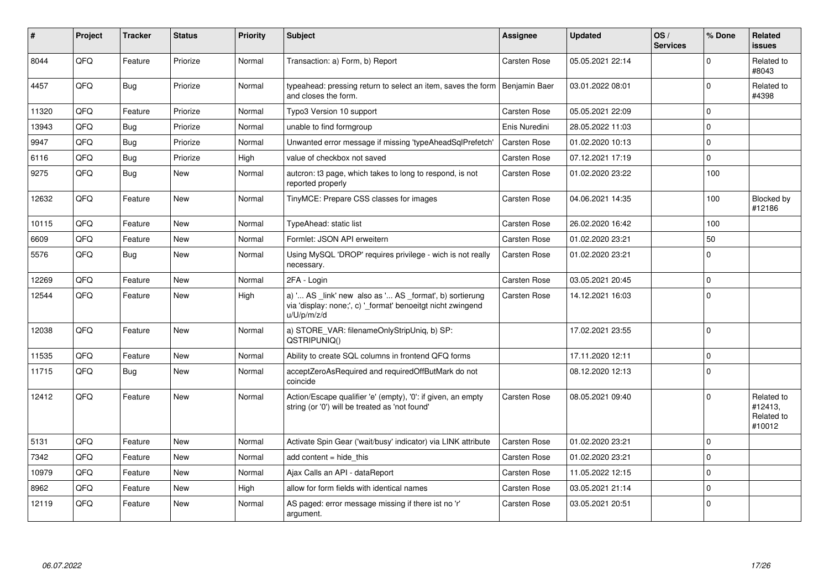| ∦     | <b>Project</b> | <b>Tracker</b> | <b>Status</b> | <b>Priority</b> | <b>Subject</b>                                                                                                                        | Assignee            | <b>Updated</b>   | OS/<br><b>Services</b> | % Done         | Related<br><b>issues</b>                      |
|-------|----------------|----------------|---------------|-----------------|---------------------------------------------------------------------------------------------------------------------------------------|---------------------|------------------|------------------------|----------------|-----------------------------------------------|
| 8044  | QFQ            | Feature        | Priorize      | Normal          | Transaction: a) Form, b) Report                                                                                                       | Carsten Rose        | 05.05.2021 22:14 |                        | $\Omega$       | Related to<br>#8043                           |
| 4457  | QFQ            | Bug            | Priorize      | Normal          | typeahead: pressing return to select an item, saves the form<br>and closes the form.                                                  | Benjamin Baer       | 03.01.2022 08:01 |                        | $\Omega$       | Related to<br>#4398                           |
| 11320 | QFQ            | Feature        | Priorize      | Normal          | Typo3 Version 10 support                                                                                                              | Carsten Rose        | 05.05.2021 22:09 |                        | $\Omega$       |                                               |
| 13943 | QFQ            | Bug            | Priorize      | Normal          | unable to find formgroup                                                                                                              | Enis Nuredini       | 28.05.2022 11:03 |                        | $\Omega$       |                                               |
| 9947  | QFQ            | Bug            | Priorize      | Normal          | Unwanted error message if missing 'typeAheadSqlPrefetch'                                                                              | <b>Carsten Rose</b> | 01.02.2020 10:13 |                        | $\overline{0}$ |                                               |
| 6116  | QFQ            | Bug            | Priorize      | High            | value of checkbox not saved                                                                                                           | <b>Carsten Rose</b> | 07.12.2021 17:19 |                        | $\Omega$       |                                               |
| 9275  | QFQ            | Bug            | <b>New</b>    | Normal          | autcron: t3 page, which takes to long to respond, is not<br>reported properly                                                         | Carsten Rose        | 01.02.2020 23:22 |                        | 100            |                                               |
| 12632 | QFQ            | Feature        | <b>New</b>    | Normal          | TinyMCE: Prepare CSS classes for images                                                                                               | Carsten Rose        | 04.06.2021 14:35 |                        | 100            | Blocked by<br>#12186                          |
| 10115 | QFQ            | Feature        | <b>New</b>    | Normal          | TypeAhead: static list                                                                                                                | <b>Carsten Rose</b> | 26.02.2020 16:42 |                        | 100            |                                               |
| 6609  | QFQ            | Feature        | <b>New</b>    | Normal          | Formlet: JSON API erweitern                                                                                                           | Carsten Rose        | 01.02.2020 23:21 |                        | 50             |                                               |
| 5576  | QFQ            | Bug            | <b>New</b>    | Normal          | Using MySQL 'DROP' requires privilege - wich is not really<br>necessary.                                                              | <b>Carsten Rose</b> | 01.02.2020 23:21 |                        | $\Omega$       |                                               |
| 12269 | QFQ            | Feature        | <b>New</b>    | Normal          | 2FA - Login                                                                                                                           | Carsten Rose        | 03.05.2021 20:45 |                        | $\mathbf 0$    |                                               |
| 12544 | QFQ            | Feature        | <b>New</b>    | High            | a) ' AS _link' new also as ' AS _format', b) sortierung<br>via 'display: none;', c) '_format' benoeitgt nicht zwingend<br>u/U/p/m/z/d | Carsten Rose        | 14.12.2021 16:03 |                        | $\Omega$       |                                               |
| 12038 | QFQ            | Feature        | <b>New</b>    | Normal          | a) STORE_VAR: filenameOnlyStripUniq, b) SP:<br>QSTRIPUNIQ()                                                                           |                     | 17.02.2021 23:55 |                        | $\overline{0}$ |                                               |
| 11535 | QFQ            | Feature        | <b>New</b>    | Normal          | Ability to create SQL columns in frontend QFQ forms                                                                                   |                     | 17.11.2020 12:11 |                        | $\mathbf 0$    |                                               |
| 11715 | QFQ            | Bug            | <b>New</b>    | Normal          | acceptZeroAsRequired and requiredOffButMark do not<br>coincide                                                                        |                     | 08.12.2020 12:13 |                        | $\Omega$       |                                               |
| 12412 | QFQ            | Feature        | <b>New</b>    | Normal          | Action/Escape qualifier 'e' (empty), '0': if given, an empty<br>string (or '0') will be treated as 'not found'                        | Carsten Rose        | 08.05.2021 09:40 |                        | $\Omega$       | Related to<br>#12413,<br>Related to<br>#10012 |
| 5131  | QFQ            | Feature        | <b>New</b>    | Normal          | Activate Spin Gear ('wait/busy' indicator) via LINK attribute                                                                         | Carsten Rose        | 01.02.2020 23:21 |                        | $\Omega$       |                                               |
| 7342  | QFQ            | Feature        | <b>New</b>    | Normal          | add content = hide this                                                                                                               | <b>Carsten Rose</b> | 01.02.2020 23:21 |                        | $\mathbf 0$    |                                               |
| 10979 | QFQ            | Feature        | <b>New</b>    | Normal          | Ajax Calls an API - dataReport                                                                                                        | Carsten Rose        | 11.05.2022 12:15 |                        | $\Omega$       |                                               |
| 8962  | QFQ            | Feature        | <b>New</b>    | High            | allow for form fields with identical names                                                                                            | Carsten Rose        | 03.05.2021 21:14 |                        | $\mathbf 0$    |                                               |
| 12119 | QFQ            | Feature        | <b>New</b>    | Normal          | AS paged: error message missing if there ist no 'r'<br>argument.                                                                      | <b>Carsten Rose</b> | 03.05.2021 20:51 |                        | $\mathbf 0$    |                                               |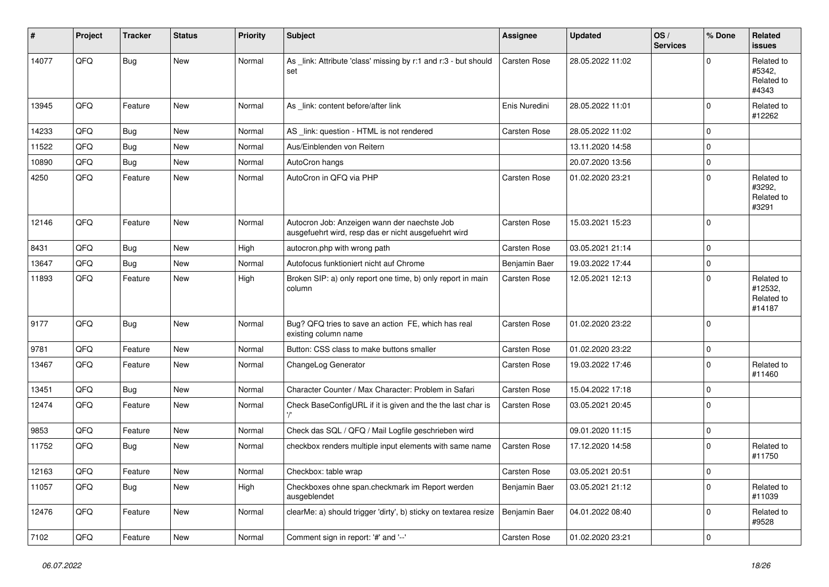| #     | Project | <b>Tracker</b> | <b>Status</b> | <b>Priority</b> | <b>Subject</b>                                                                                       | <b>Assignee</b> | <b>Updated</b>   | OS/<br><b>Services</b> | % Done       | Related<br><b>issues</b>                      |
|-------|---------|----------------|---------------|-----------------|------------------------------------------------------------------------------------------------------|-----------------|------------------|------------------------|--------------|-----------------------------------------------|
| 14077 | QFQ     | Bug            | New           | Normal          | As _link: Attribute 'class' missing by r:1 and r:3 - but should<br>set                               | Carsten Rose    | 28.05.2022 11:02 |                        | $\Omega$     | Related to<br>#5342,<br>Related to<br>#4343   |
| 13945 | QFQ     | Feature        | New           | Normal          | As _link: content before/after link                                                                  | Enis Nuredini   | 28.05.2022 11:01 |                        | $\mathbf 0$  | Related to<br>#12262                          |
| 14233 | QFQ     | Bug            | New           | Normal          | AS _link: question - HTML is not rendered                                                            | Carsten Rose    | 28.05.2022 11:02 |                        | $\mathbf 0$  |                                               |
| 11522 | QFQ     | <b>Bug</b>     | <b>New</b>    | Normal          | Aus/Einblenden von Reitern                                                                           |                 | 13.11.2020 14:58 |                        | $\mathbf 0$  |                                               |
| 10890 | QFQ     | <b>Bug</b>     | <b>New</b>    | Normal          | AutoCron hangs                                                                                       |                 | 20.07.2020 13:56 |                        | $\mathbf 0$  |                                               |
| 4250  | QFQ     | Feature        | New           | Normal          | AutoCron in QFQ via PHP                                                                              | Carsten Rose    | 01.02.2020 23:21 |                        | $\mathbf 0$  | Related to<br>#3292,<br>Related to<br>#3291   |
| 12146 | QFQ     | Feature        | <b>New</b>    | Normal          | Autocron Job: Anzeigen wann der naechste Job<br>ausgefuehrt wird, resp das er nicht ausgefuehrt wird | Carsten Rose    | 15.03.2021 15:23 |                        | $\Omega$     |                                               |
| 8431  | QFQ     | Bug            | New           | High            | autocron.php with wrong path                                                                         | Carsten Rose    | 03.05.2021 21:14 |                        | $\mathbf 0$  |                                               |
| 13647 | QFQ     | Bug            | <b>New</b>    | Normal          | Autofocus funktioniert nicht auf Chrome                                                              | Benjamin Baer   | 19.03.2022 17:44 |                        | $\mathbf 0$  |                                               |
| 11893 | QFQ     | Feature        | <b>New</b>    | High            | Broken SIP: a) only report one time, b) only report in main<br>column                                | Carsten Rose    | 12.05.2021 12:13 |                        | $\Omega$     | Related to<br>#12532,<br>Related to<br>#14187 |
| 9177  | QFQ     | Bug            | <b>New</b>    | Normal          | Bug? QFQ tries to save an action FE, which has real<br>existing column name                          | Carsten Rose    | 01.02.2020 23:22 |                        | $\Omega$     |                                               |
| 9781  | QFQ     | Feature        | New           | Normal          | Button: CSS class to make buttons smaller                                                            | Carsten Rose    | 01.02.2020 23:22 |                        | $\mathbf 0$  |                                               |
| 13467 | QFQ     | Feature        | <b>New</b>    | Normal          | ChangeLog Generator                                                                                  | Carsten Rose    | 19.03.2022 17:46 |                        | $\mathbf 0$  | Related to<br>#11460                          |
| 13451 | QFQ     | Bug            | New           | Normal          | Character Counter / Max Character: Problem in Safari                                                 | Carsten Rose    | 15.04.2022 17:18 |                        | $\mathbf 0$  |                                               |
| 12474 | QFQ     | Feature        | <b>New</b>    | Normal          | Check BaseConfigURL if it is given and the the last char is                                          | Carsten Rose    | 03.05.2021 20:45 |                        | $\mathbf 0$  |                                               |
| 9853  | QFQ     | Feature        | New           | Normal          | Check das SQL / QFQ / Mail Logfile geschrieben wird                                                  |                 | 09.01.2020 11:15 |                        | $\mathbf 0$  |                                               |
| 11752 | QFQ     | Bug            | New           | Normal          | checkbox renders multiple input elements with same name                                              | Carsten Rose    | 17.12.2020 14:58 |                        | $\mathbf 0$  | Related to<br>#11750                          |
| 12163 | QFQ     | Feature        | New           | Normal          | Checkbox: table wrap                                                                                 | Carsten Rose    | 03.05.2021 20:51 |                        | $\mathsf{U}$ |                                               |
| 11057 | QFQ     | <b>Bug</b>     | New           | High            | Checkboxes ohne span.checkmark im Report werden<br>ausgeblendet                                      | Benjamin Baer   | 03.05.2021 21:12 |                        | $\mathbf 0$  | Related to<br>#11039                          |
| 12476 | QFQ     | Feature        | New           | Normal          | clearMe: a) should trigger 'dirty', b) sticky on textarea resize                                     | Benjamin Baer   | 04.01.2022 08:40 |                        | $\mathbf 0$  | Related to<br>#9528                           |
| 7102  | QFQ     | Feature        | New           | Normal          | Comment sign in report: '#' and '--'                                                                 | Carsten Rose    | 01.02.2020 23:21 |                        | $\mathbf 0$  |                                               |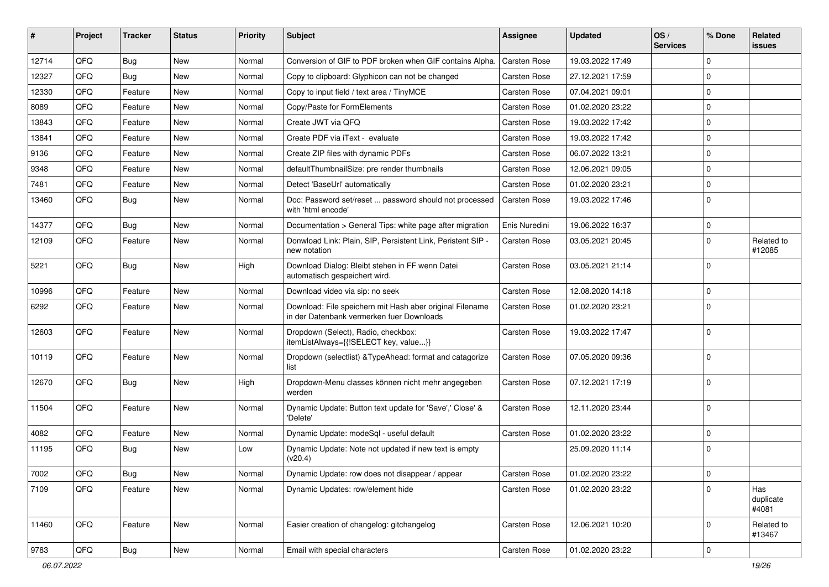| #     | Project | <b>Tracker</b> | <b>Status</b> | <b>Priority</b> | Subject                                                                                               | <b>Assignee</b>     | <b>Updated</b>   | OS/<br><b>Services</b> | % Done      | Related<br>issues         |
|-------|---------|----------------|---------------|-----------------|-------------------------------------------------------------------------------------------------------|---------------------|------------------|------------------------|-------------|---------------------------|
| 12714 | QFQ     | Bug            | <b>New</b>    | Normal          | Conversion of GIF to PDF broken when GIF contains Alpha.                                              | Carsten Rose        | 19.03.2022 17:49 |                        | $\Omega$    |                           |
| 12327 | QFQ     | Bug            | <b>New</b>    | Normal          | Copy to clipboard: Glyphicon can not be changed                                                       | <b>Carsten Rose</b> | 27.12.2021 17:59 |                        | $\mathbf 0$ |                           |
| 12330 | QFQ     | Feature        | <b>New</b>    | Normal          | Copy to input field / text area / TinyMCE                                                             | <b>Carsten Rose</b> | 07.04.2021 09:01 |                        | $\Omega$    |                           |
| 8089  | QFQ     | Feature        | <b>New</b>    | Normal          | Copy/Paste for FormElements                                                                           | <b>Carsten Rose</b> | 01.02.2020 23:22 |                        | 0           |                           |
| 13843 | QFQ     | Feature        | <b>New</b>    | Normal          | Create JWT via QFQ                                                                                    | Carsten Rose        | 19.03.2022 17:42 |                        | 0           |                           |
| 13841 | QFQ     | Feature        | <b>New</b>    | Normal          | Create PDF via iText - evaluate                                                                       | Carsten Rose        | 19.03.2022 17:42 |                        | $\mathbf 0$ |                           |
| 9136  | QFQ     | Feature        | New           | Normal          | Create ZIP files with dynamic PDFs                                                                    | Carsten Rose        | 06.07.2022 13:21 |                        | $\mathbf 0$ |                           |
| 9348  | QFQ     | Feature        | <b>New</b>    | Normal          | defaultThumbnailSize: pre render thumbnails                                                           | <b>Carsten Rose</b> | 12.06.2021 09:05 |                        | 0           |                           |
| 7481  | QFQ     | Feature        | <b>New</b>    | Normal          | Detect 'BaseUrl' automatically                                                                        | <b>Carsten Rose</b> | 01.02.2020 23:21 |                        | 0           |                           |
| 13460 | QFQ     | Bug            | New           | Normal          | Doc: Password set/reset  password should not processed<br>with 'html encode'                          | <b>Carsten Rose</b> | 19.03.2022 17:46 |                        | $\Omega$    |                           |
| 14377 | QFQ     | Bug            | <b>New</b>    | Normal          | Documentation > General Tips: white page after migration                                              | Enis Nuredini       | 19.06.2022 16:37 |                        | $\mathbf 0$ |                           |
| 12109 | QFQ     | Feature        | New           | Normal          | Donwload Link: Plain, SIP, Persistent Link, Peristent SIP -<br>new notation                           | Carsten Rose        | 03.05.2021 20:45 |                        | $\Omega$    | Related to<br>#12085      |
| 5221  | QFQ     | Bug            | <b>New</b>    | High            | Download Dialog: Bleibt stehen in FF wenn Datei<br>automatisch gespeichert wird.                      | <b>Carsten Rose</b> | 03.05.2021 21:14 |                        | 0           |                           |
| 10996 | QFQ     | Feature        | New           | Normal          | Download video via sip: no seek                                                                       | <b>Carsten Rose</b> | 12.08.2020 14:18 |                        | $\mathbf 0$ |                           |
| 6292  | QFQ     | Feature        | New           | Normal          | Download: File speichern mit Hash aber original Filename<br>in der Datenbank vermerken fuer Downloads | <b>Carsten Rose</b> | 01.02.2020 23:21 |                        | $\Omega$    |                           |
| 12603 | QFQ     | Feature        | <b>New</b>    | Normal          | Dropdown (Select), Radio, checkbox:<br>itemListAlways={{!SELECT key, value}}                          | <b>Carsten Rose</b> | 19.03.2022 17:47 |                        | $\mathbf 0$ |                           |
| 10119 | QFQ     | Feature        | <b>New</b>    | Normal          | Dropdown (selectlist) & TypeAhead: format and catagorize<br>list                                      | <b>Carsten Rose</b> | 07.05.2020 09:36 |                        | 0           |                           |
| 12670 | QFQ     | Bug            | <b>New</b>    | High            | Dropdown-Menu classes können nicht mehr angegeben<br>werden                                           | Carsten Rose        | 07.12.2021 17:19 |                        | $\Omega$    |                           |
| 11504 | QFQ     | Feature        | <b>New</b>    | Normal          | Dynamic Update: Button text update for 'Save',' Close' &<br>'Delete'                                  | <b>Carsten Rose</b> | 12.11.2020 23:44 |                        | $\Omega$    |                           |
| 4082  | QFQ     | Feature        | New           | Normal          | Dynamic Update: modeSql - useful default                                                              | <b>Carsten Rose</b> | 01.02.2020 23:22 |                        | $\Omega$    |                           |
| 11195 | QFQ     | Bug            | New           | Low             | Dynamic Update: Note not updated if new text is empty<br>(v20.4)                                      |                     | 25.09.2020 11:14 |                        | 0           |                           |
| 7002  | QFQ     | <b>Bug</b>     | New           | Normal          | Dynamic Update: row does not disappear / appear                                                       | Carsten Rose        | 01.02.2020 23:22 |                        | 0           |                           |
| 7109  | QFQ     | Feature        | New           | Normal          | Dynamic Updates: row/element hide                                                                     | Carsten Rose        | 01.02.2020 23:22 |                        | $\mathbf 0$ | Has<br>duplicate<br>#4081 |
| 11460 | QFQ     | Feature        | New           | Normal          | Easier creation of changelog: gitchangelog                                                            | Carsten Rose        | 12.06.2021 10:20 |                        | $\mathbf 0$ | Related to<br>#13467      |
| 9783  | QFQ     | <b>Bug</b>     | New           | Normal          | Email with special characters                                                                         | Carsten Rose        | 01.02.2020 23:22 |                        | 0           |                           |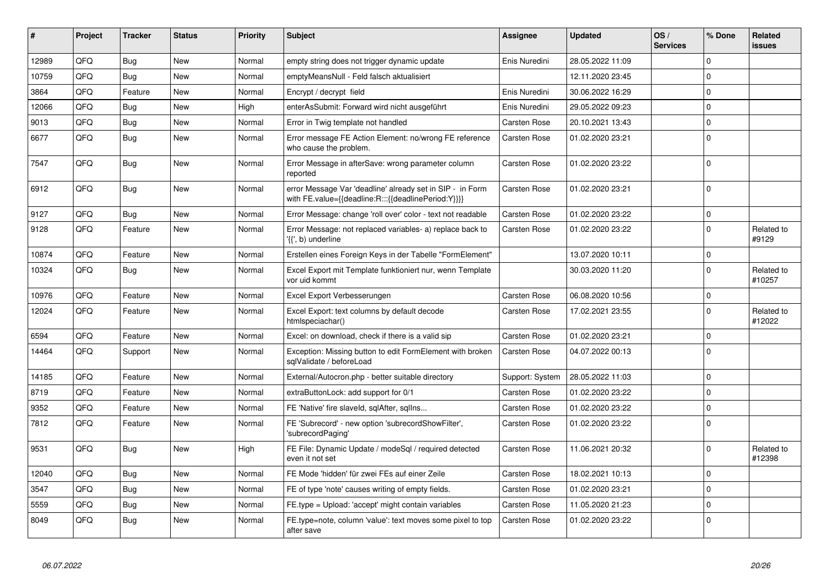| ∦     | <b>Project</b> | <b>Tracker</b> | <b>Status</b> | <b>Priority</b> | <b>Subject</b>                                                                                                   | Assignee            | <b>Updated</b>   | OS/<br><b>Services</b> | % Done         | Related<br>issues    |
|-------|----------------|----------------|---------------|-----------------|------------------------------------------------------------------------------------------------------------------|---------------------|------------------|------------------------|----------------|----------------------|
| 12989 | QFQ            | <b>Bug</b>     | <b>New</b>    | Normal          | empty string does not trigger dynamic update                                                                     | Enis Nuredini       | 28.05.2022 11:09 |                        | $\Omega$       |                      |
| 10759 | QFQ            | Bug            | New           | Normal          | emptyMeansNull - Feld falsch aktualisiert                                                                        |                     | 12.11.2020 23:45 |                        | $\Omega$       |                      |
| 3864  | QFQ            | Feature        | <b>New</b>    | Normal          | Encrypt / decrypt field                                                                                          | Enis Nuredini       | 30.06.2022 16:29 |                        | $\mathbf 0$    |                      |
| 12066 | QFQ            | Bug            | <b>New</b>    | High            | enterAsSubmit: Forward wird nicht ausgeführt                                                                     | Enis Nuredini       | 29.05.2022 09:23 |                        | 0              |                      |
| 9013  | QFQ            | Bug            | New           | Normal          | Error in Twig template not handled                                                                               | <b>Carsten Rose</b> | 20.10.2021 13:43 |                        | 0              |                      |
| 6677  | QFQ            | Bug            | New           | Normal          | Error message FE Action Element: no/wrong FE reference<br>who cause the problem.                                 | Carsten Rose        | 01.02.2020 23:21 |                        | l O            |                      |
| 7547  | QFQ            | Bug            | New           | Normal          | Error Message in afterSave: wrong parameter column<br>reported                                                   | Carsten Rose        | 01.02.2020 23:22 |                        | $\Omega$       |                      |
| 6912  | QFQ            | Bug            | <b>New</b>    | Normal          | error Message Var 'deadline' already set in SIP - in Form<br>with FE.value={{deadline:R:::{{deadlinePeriod:Y}}}} | <b>Carsten Rose</b> | 01.02.2020 23:21 |                        | $\overline{0}$ |                      |
| 9127  | QFQ            | Bug            | <b>New</b>    | Normal          | Error Message: change 'roll over' color - text not readable                                                      | <b>Carsten Rose</b> | 01.02.2020 23:22 |                        | $\overline{0}$ |                      |
| 9128  | QFQ            | Feature        | New           | Normal          | Error Message: not replaced variables- a) replace back to<br>'{{', b) underline                                  | Carsten Rose        | 01.02.2020 23:22 |                        | $\Omega$       | Related to<br>#9129  |
| 10874 | QFQ            | Feature        | <b>New</b>    | Normal          | Erstellen eines Foreign Keys in der Tabelle "FormElement"                                                        |                     | 13.07.2020 10:11 |                        | 0              |                      |
| 10324 | QFQ            | Bug            | <b>New</b>    | Normal          | Excel Export mit Template funktioniert nur, wenn Template<br>vor uid kommt                                       |                     | 30.03.2020 11:20 |                        | $\Omega$       | Related to<br>#10257 |
| 10976 | QFQ            | Feature        | New           | Normal          | Excel Export Verbesserungen                                                                                      | Carsten Rose        | 06.08.2020 10:56 |                        | 0              |                      |
| 12024 | QFQ            | Feature        | New           | Normal          | Excel Export: text columns by default decode<br>htmlspeciachar()                                                 | Carsten Rose        | 17.02.2021 23:55 |                        | $\Omega$       | Related to<br>#12022 |
| 6594  | QFQ            | Feature        | New           | Normal          | Excel: on download, check if there is a valid sip                                                                | Carsten Rose        | 01.02.2020 23:21 |                        | 0              |                      |
| 14464 | QFQ            | Support        | New           | Normal          | Exception: Missing button to edit FormElement with broken<br>sqlValidate / beforeLoad                            | <b>Carsten Rose</b> | 04.07.2022 00:13 |                        | 0              |                      |
| 14185 | QFQ            | Feature        | New           | Normal          | External/Autocron.php - better suitable directory                                                                | Support: System     | 28.05.2022 11:03 |                        | $\Omega$       |                      |
| 8719  | QFQ            | Feature        | New           | Normal          | extraButtonLock: add support for 0/1                                                                             | <b>Carsten Rose</b> | 01.02.2020 23:22 |                        | $\Omega$       |                      |
| 9352  | QFQ            | Feature        | New           | Normal          | FE 'Native' fire slaveld, sqlAfter, sqlIns                                                                       | Carsten Rose        | 01.02.2020 23:22 |                        | $\mathbf 0$    |                      |
| 7812  | QFQ            | Feature        | New           | Normal          | FE 'Subrecord' - new option 'subrecordShowFilter',<br>'subrecordPaging'                                          | Carsten Rose        | 01.02.2020 23:22 |                        | l O            |                      |
| 9531  | QFQ            | Bug            | New           | High            | FE File: Dynamic Update / modeSql / required detected<br>even it not set                                         | Carsten Rose        | 11.06.2021 20:32 |                        | $\Omega$       | Related to<br>#12398 |
| 12040 | QFQ            | Bug            | <b>New</b>    | Normal          | FE Mode 'hidden' für zwei FEs auf einer Zeile                                                                    | Carsten Rose        | 18.02.2021 10:13 |                        | 0              |                      |
| 3547  | QFQ            | Bug            | <b>New</b>    | Normal          | FE of type 'note' causes writing of empty fields.                                                                | Carsten Rose        | 01.02.2020 23:21 |                        | $\Omega$       |                      |
| 5559  | QFQ            | Bug            | New           | Normal          | FE.type = Upload: 'accept' might contain variables                                                               | <b>Carsten Rose</b> | 11.05.2020 21:23 |                        | $\overline{0}$ |                      |
| 8049  | QFQ            | Bug            | New           | Normal          | FE.type=note, column 'value': text moves some pixel to top<br>after save                                         | Carsten Rose        | 01.02.2020 23:22 |                        | $\overline{0}$ |                      |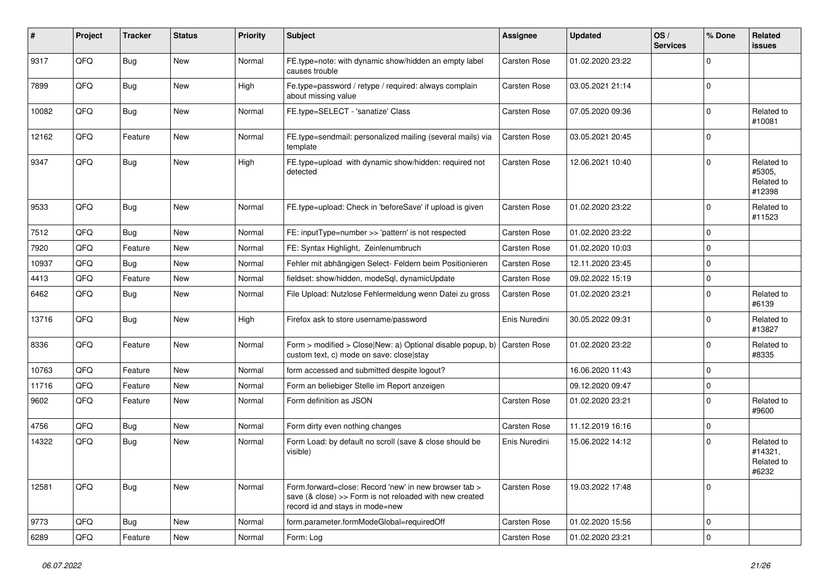| #     | Project | <b>Tracker</b> | <b>Status</b> | <b>Priority</b> | Subject                                                                                                                                             | Assignee      | <b>Updated</b>   | OS/<br><b>Services</b> | % Done      | Related<br><b>issues</b>                     |
|-------|---------|----------------|---------------|-----------------|-----------------------------------------------------------------------------------------------------------------------------------------------------|---------------|------------------|------------------------|-------------|----------------------------------------------|
| 9317  | QFQ     | <b>Bug</b>     | New           | Normal          | FE.type=note: with dynamic show/hidden an empty label<br>causes trouble                                                                             | Carsten Rose  | 01.02.2020 23:22 |                        | $\Omega$    |                                              |
| 7899  | QFQ     | <b>Bug</b>     | New           | High            | Fe.type=password / retype / required: always complain<br>about missing value                                                                        | Carsten Rose  | 03.05.2021 21:14 |                        | l 0         |                                              |
| 10082 | QFQ     | Bug            | New           | Normal          | FE.type=SELECT - 'sanatize' Class                                                                                                                   | Carsten Rose  | 07.05.2020 09:36 |                        | $\Omega$    | Related to<br>#10081                         |
| 12162 | QFQ     | Feature        | New           | Normal          | FE.type=sendmail: personalized mailing (several mails) via<br>template                                                                              | Carsten Rose  | 03.05.2021 20:45 |                        | l 0         |                                              |
| 9347  | QFQ     | <b>Bug</b>     | New           | High            | FE.type=upload with dynamic show/hidden: required not<br>detected                                                                                   | Carsten Rose  | 12.06.2021 10:40 |                        | $\Omega$    | Related to<br>#5305,<br>Related to<br>#12398 |
| 9533  | QFQ     | Bug            | New           | Normal          | FE.type=upload: Check in 'beforeSave' if upload is given                                                                                            | Carsten Rose  | 01.02.2020 23:22 |                        | l 0         | Related to<br>#11523                         |
| 7512  | QFQ     | Bug            | New           | Normal          | FE: inputType=number >> 'pattern' is not respected                                                                                                  | Carsten Rose  | 01.02.2020 23:22 |                        | l 0         |                                              |
| 7920  | QFQ     | Feature        | New           | Normal          | FE: Syntax Highlight, Zeinlenumbruch                                                                                                                | Carsten Rose  | 01.02.2020 10:03 |                        | $\Omega$    |                                              |
| 10937 | QFQ     | Bug            | New           | Normal          | Fehler mit abhängigen Select- Feldern beim Positionieren                                                                                            | Carsten Rose  | 12.11.2020 23:45 |                        | l 0         |                                              |
| 4413  | QFQ     | Feature        | New           | Normal          | fieldset: show/hidden, modeSql, dynamicUpdate                                                                                                       | Carsten Rose  | 09.02.2022 15:19 |                        | $\mathbf 0$ |                                              |
| 6462  | QFQ     | Bug            | New           | Normal          | File Upload: Nutzlose Fehlermeldung wenn Datei zu gross                                                                                             | Carsten Rose  | 01.02.2020 23:21 |                        | $\Omega$    | Related to<br>#6139                          |
| 13716 | QFQ     | <b>Bug</b>     | New           | High            | Firefox ask to store username/password                                                                                                              | Enis Nuredini | 30.05.2022 09:31 |                        | $\mathbf 0$ | Related to<br>#13827                         |
| 8336  | QFQ     | Feature        | New           | Normal          | Form > modified > Close New: a) Optional disable popup, b)<br>custom text, c) mode on save: close stay                                              | Carsten Rose  | 01.02.2020 23:22 |                        | l 0         | Related to<br>#8335                          |
| 10763 | QFQ     | Feature        | New           | Normal          | form accessed and submitted despite logout?                                                                                                         |               | 16.06.2020 11:43 |                        | l 0         |                                              |
| 11716 | QFQ     | Feature        | New           | Normal          | Form an beliebiger Stelle im Report anzeigen                                                                                                        |               | 09.12.2020 09:47 |                        | $\mathbf 0$ |                                              |
| 9602  | QFQ     | Feature        | New           | Normal          | Form definition as JSON                                                                                                                             | Carsten Rose  | 01.02.2020 23:21 |                        | $\Omega$    | Related to<br>#9600                          |
| 4756  | QFQ     | <b>Bug</b>     | New           | Normal          | Form dirty even nothing changes                                                                                                                     | Carsten Rose  | 11.12.2019 16:16 |                        | $\mathbf 0$ |                                              |
| 14322 | QFQ     | Bug            | New           | Normal          | Form Load: by default no scroll (save & close should be<br>visible)                                                                                 | Enis Nuredini | 15.06.2022 14:12 |                        | $\Omega$    | Related to<br>#14321,<br>Related to<br>#6232 |
| 12581 | QFQ     | <b>Bug</b>     | New           | Normal          | Form.forward=close: Record 'new' in new browser tab ><br>save (& close) >> Form is not reloaded with new created<br>record id and stays in mode=new | Carsten Rose  | 19.03.2022 17:48 |                        | I٥          |                                              |
| 9773  | QFQ     | <b>Bug</b>     | New           | Normal          | form.parameter.formModeGlobal=requiredOff                                                                                                           | Carsten Rose  | 01.02.2020 15:56 |                        | l 0         |                                              |
| 6289  | QFQ     | Feature        | New           | Normal          | Form: Log                                                                                                                                           | Carsten Rose  | 01.02.2020 23:21 |                        | $\mathbf 0$ |                                              |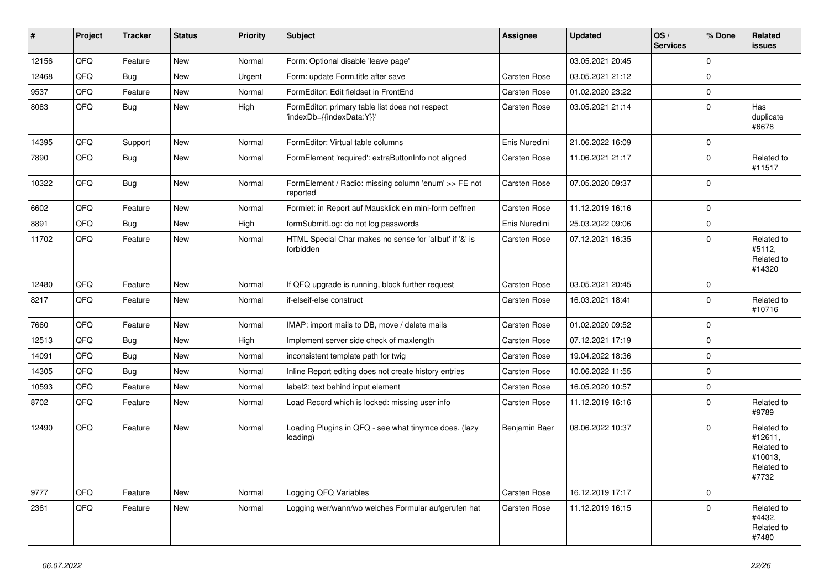| #     | Project | <b>Tracker</b> | <b>Status</b> | <b>Priority</b> | <b>Subject</b>                                                               | Assignee      | <b>Updated</b>   | OS/<br><b>Services</b> | % Done      | Related<br>issues                                                     |
|-------|---------|----------------|---------------|-----------------|------------------------------------------------------------------------------|---------------|------------------|------------------------|-------------|-----------------------------------------------------------------------|
| 12156 | QFQ     | Feature        | New           | Normal          | Form: Optional disable 'leave page'                                          |               | 03.05.2021 20:45 |                        | $\Omega$    |                                                                       |
| 12468 | QFQ     | Bug            | New           | Urgent          | Form: update Form.title after save                                           | Carsten Rose  | 03.05.2021 21:12 |                        | $\mathbf 0$ |                                                                       |
| 9537  | QFQ     | Feature        | New           | Normal          | FormEditor: Edit fieldset in FrontEnd                                        | Carsten Rose  | 01.02.2020 23:22 |                        | $\mathbf 0$ |                                                                       |
| 8083  | QFQ     | Bug            | New           | High            | FormEditor: primary table list does not respect<br>'indexDb={{indexData:Y}}' | Carsten Rose  | 03.05.2021 21:14 |                        | $\Omega$    | Has<br>duplicate<br>#6678                                             |
| 14395 | QFQ     | Support        | New           | Normal          | FormEditor: Virtual table columns                                            | Enis Nuredini | 21.06.2022 16:09 |                        | $\mathbf 0$ |                                                                       |
| 7890  | QFQ     | Bug            | New           | Normal          | FormElement 'required': extraButtonInfo not aligned                          | Carsten Rose  | 11.06.2021 21:17 |                        | $\Omega$    | Related to<br>#11517                                                  |
| 10322 | QFQ     | Bug            | New           | Normal          | FormElement / Radio: missing column 'enum' >> FE not<br>reported             | Carsten Rose  | 07.05.2020 09:37 |                        | 0           |                                                                       |
| 6602  | QFQ     | Feature        | New           | Normal          | Formlet: in Report auf Mausklick ein mini-form oeffnen                       | Carsten Rose  | 11.12.2019 16:16 |                        | $\mathbf 0$ |                                                                       |
| 8891  | QFQ     | Bug            | New           | High            | formSubmitLog: do not log passwords                                          | Enis Nuredini | 25.03.2022 09:06 |                        | $\mathbf 0$ |                                                                       |
| 11702 | QFQ     | Feature        | New           | Normal          | HTML Special Char makes no sense for 'allbut' if '&' is<br>forbidden         | Carsten Rose  | 07.12.2021 16:35 |                        | $\Omega$    | Related to<br>#5112,<br>Related to<br>#14320                          |
| 12480 | QFQ     | Feature        | New           | Normal          | If QFQ upgrade is running, block further request                             | Carsten Rose  | 03.05.2021 20:45 |                        | $\mathbf 0$ |                                                                       |
| 8217  | QFQ     | Feature        | New           | Normal          | if-elseif-else construct                                                     | Carsten Rose  | 16.03.2021 18:41 |                        | $\Omega$    | Related to<br>#10716                                                  |
| 7660  | QFQ     | Feature        | New           | Normal          | IMAP: import mails to DB, move / delete mails                                | Carsten Rose  | 01.02.2020 09:52 |                        | $\mathbf 0$ |                                                                       |
| 12513 | QFQ     | <b>Bug</b>     | New           | High            | Implement server side check of maxlength                                     | Carsten Rose  | 07.12.2021 17:19 |                        | $\mathbf 0$ |                                                                       |
| 14091 | QFQ     | Bug            | New           | Normal          | inconsistent template path for twig                                          | Carsten Rose  | 19.04.2022 18:36 |                        | $\mathbf 0$ |                                                                       |
| 14305 | QFQ     | Bug            | New           | Normal          | Inline Report editing does not create history entries                        | Carsten Rose  | 10.06.2022 11:55 |                        | $\Omega$    |                                                                       |
| 10593 | QFQ     | Feature        | New           | Normal          | label2: text behind input element                                            | Carsten Rose  | 16.05.2020 10:57 |                        | $\mathbf 0$ |                                                                       |
| 8702  | QFQ     | Feature        | New           | Normal          | Load Record which is locked: missing user info                               | Carsten Rose  | 11.12.2019 16:16 |                        | $\mathbf 0$ | Related to<br>#9789                                                   |
| 12490 | QFQ     | Feature        | New           | Normal          | Loading Plugins in QFQ - see what tinymce does. (lazy<br>loading)            | Benjamin Baer | 08.06.2022 10:37 |                        | $\Omega$    | Related to<br>#12611,<br>Related to<br>#10013,<br>Related to<br>#7732 |
| 9777  | QFQ     | Feature        | New           | Normal          | Logging QFQ Variables                                                        | Carsten Rose  | 16.12.2019 17:17 |                        | 0           |                                                                       |
| 2361  | QFQ     | Feature        | New           | Normal          | Logging wer/wann/wo welches Formular aufgerufen hat                          | Carsten Rose  | 11.12.2019 16:15 |                        | $\mathbf 0$ | Related to<br>#4432,<br>Related to<br>#7480                           |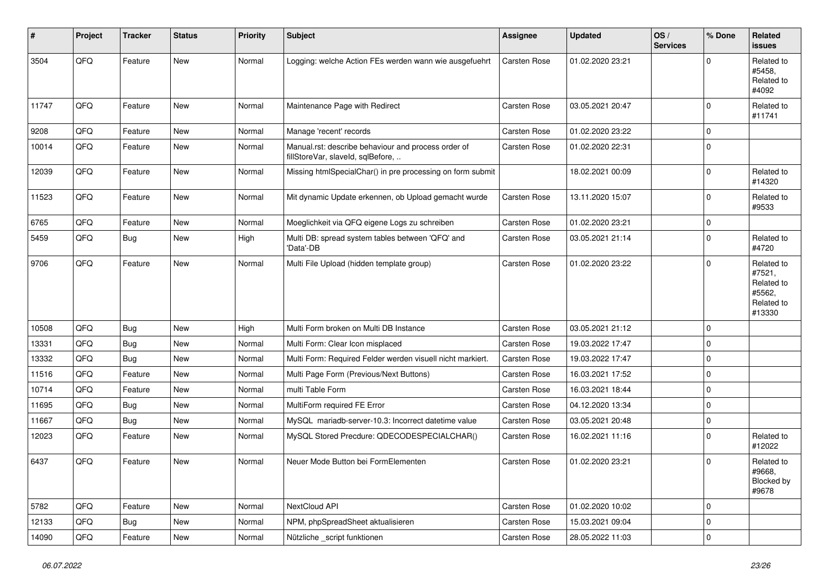| #     | Project | <b>Tracker</b> | <b>Status</b> | <b>Priority</b> | <b>Subject</b>                                                                           | <b>Assignee</b> | <b>Updated</b>   | OS/<br><b>Services</b> | % Done      | <b>Related</b><br><b>issues</b>                                      |
|-------|---------|----------------|---------------|-----------------|------------------------------------------------------------------------------------------|-----------------|------------------|------------------------|-------------|----------------------------------------------------------------------|
| 3504  | QFQ     | Feature        | <b>New</b>    | Normal          | Logging: welche Action FEs werden wann wie ausgefuehrt                                   | Carsten Rose    | 01.02.2020 23:21 |                        | $\mathbf 0$ | Related to<br>#5458.<br>Related to<br>#4092                          |
| 11747 | QFQ     | Feature        | <b>New</b>    | Normal          | Maintenance Page with Redirect                                                           | Carsten Rose    | 03.05.2021 20:47 |                        | $\Omega$    | Related to<br>#11741                                                 |
| 9208  | QFQ     | Feature        | <b>New</b>    | Normal          | Manage 'recent' records                                                                  | Carsten Rose    | 01.02.2020 23:22 |                        | $\mathbf 0$ |                                                                      |
| 10014 | QFQ     | Feature        | New           | Normal          | Manual.rst: describe behaviour and process order of<br>fillStoreVar, slaveId, sqlBefore, | Carsten Rose    | 01.02.2020 22:31 |                        | $\mathbf 0$ |                                                                      |
| 12039 | QFQ     | Feature        | <b>New</b>    | Normal          | Missing htmlSpecialChar() in pre processing on form submit                               |                 | 18.02.2021 00:09 |                        | $\mathbf 0$ | Related to<br>#14320                                                 |
| 11523 | QFQ     | Feature        | New           | Normal          | Mit dynamic Update erkennen, ob Upload gemacht wurde                                     | Carsten Rose    | 13.11.2020 15:07 |                        | $\mathbf 0$ | Related to<br>#9533                                                  |
| 6765  | QFQ     | Feature        | <b>New</b>    | Normal          | Moeglichkeit via QFQ eigene Logs zu schreiben                                            | Carsten Rose    | 01.02.2020 23:21 |                        | $\mathbf 0$ |                                                                      |
| 5459  | QFQ     | Bug            | <b>New</b>    | High            | Multi DB: spread system tables between 'QFQ' and<br>'Data'-DB                            | Carsten Rose    | 03.05.2021 21:14 |                        | $\mathbf 0$ | Related to<br>#4720                                                  |
| 9706  | QFQ     | Feature        | <b>New</b>    | Normal          | Multi File Upload (hidden template group)                                                | Carsten Rose    | 01.02.2020 23:22 |                        | $\mathbf 0$ | Related to<br>#7521,<br>Related to<br>#5562,<br>Related to<br>#13330 |
| 10508 | QFQ     | <b>Bug</b>     | New           | High            | Multi Form broken on Multi DB Instance                                                   | Carsten Rose    | 03.05.2021 21:12 |                        | $\mathbf 0$ |                                                                      |
| 13331 | QFQ     | Bug            | <b>New</b>    | Normal          | Multi Form: Clear Icon misplaced                                                         | Carsten Rose    | 19.03.2022 17:47 |                        | $\mathbf 0$ |                                                                      |
| 13332 | QFQ     | <b>Bug</b>     | <b>New</b>    | Normal          | Multi Form: Required Felder werden visuell nicht markiert.                               | Carsten Rose    | 19.03.2022 17:47 |                        | $\mathbf 0$ |                                                                      |
| 11516 | QFQ     | Feature        | <b>New</b>    | Normal          | Multi Page Form (Previous/Next Buttons)                                                  | Carsten Rose    | 16.03.2021 17:52 |                        | $\mathbf 0$ |                                                                      |
| 10714 | QFQ     | Feature        | New           | Normal          | multi Table Form                                                                         | Carsten Rose    | 16.03.2021 18:44 |                        | $\mathbf 0$ |                                                                      |
| 11695 | QFQ     | Bug            | <b>New</b>    | Normal          | MultiForm required FE Error                                                              | Carsten Rose    | 04.12.2020 13:34 |                        | $\pmb{0}$   |                                                                      |
| 11667 | QFQ     | Bug            | <b>New</b>    | Normal          | MySQL mariadb-server-10.3: Incorrect datetime value                                      | Carsten Rose    | 03.05.2021 20:48 |                        | $\mathbf 0$ |                                                                      |
| 12023 | QFQ     | Feature        | <b>New</b>    | Normal          | MySQL Stored Precdure: QDECODESPECIALCHAR()                                              | Carsten Rose    | 16.02.2021 11:16 |                        | $\mathbf 0$ | Related to<br>#12022                                                 |
| 6437  | QFQ     | Feature        | <b>New</b>    | Normal          | Neuer Mode Button bei FormElementen                                                      | Carsten Rose    | 01.02.2020 23:21 |                        | $\mathbf 0$ | Related to<br>#9668,<br>Blocked by<br>#9678                          |
| 5782  | QFQ     | Feature        | New           | Normal          | NextCloud API                                                                            | Carsten Rose    | 01.02.2020 10:02 |                        | $\mathbf 0$ |                                                                      |
| 12133 | QFQ     | Bug            | New           | Normal          | NPM, phpSpreadSheet aktualisieren                                                        | Carsten Rose    | 15.03.2021 09:04 |                        | $\mathbf 0$ |                                                                      |
| 14090 | QFQ     | Feature        | New           | Normal          | Nützliche _script funktionen                                                             | Carsten Rose    | 28.05.2022 11:03 |                        | $\mathbf 0$ |                                                                      |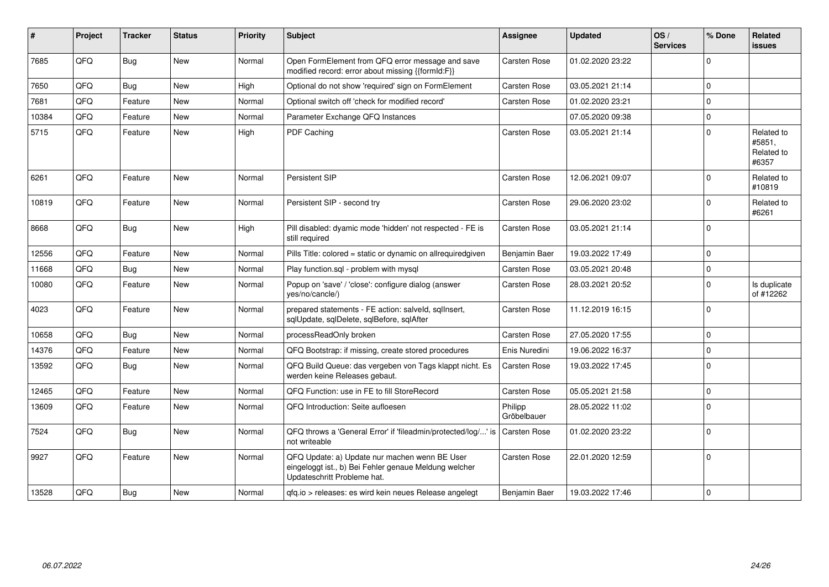| #     | Project | <b>Tracker</b> | <b>Status</b> | <b>Priority</b> | <b>Subject</b>                                                                                                                        | Assignee               | <b>Updated</b>   | OS/<br><b>Services</b> | % Done      | Related<br><b>issues</b>                    |
|-------|---------|----------------|---------------|-----------------|---------------------------------------------------------------------------------------------------------------------------------------|------------------------|------------------|------------------------|-------------|---------------------------------------------|
| 7685  | QFQ     | Bug            | New           | Normal          | Open FormElement from QFQ error message and save<br>modified record: error about missing {{formId:F}}                                 | Carsten Rose           | 01.02.2020 23:22 |                        | $\Omega$    |                                             |
| 7650  | QFQ     | Bug            | <b>New</b>    | High            | Optional do not show 'required' sign on FormElement                                                                                   | Carsten Rose           | 03.05.2021 21:14 |                        | $\Omega$    |                                             |
| 7681  | QFQ     | Feature        | <b>New</b>    | Normal          | Optional switch off 'check for modified record'                                                                                       | Carsten Rose           | 01.02.2020 23:21 |                        | 0           |                                             |
| 10384 | QFQ     | Feature        | <b>New</b>    | Normal          | Parameter Exchange QFQ Instances                                                                                                      |                        | 07.05.2020 09:38 |                        | $\mathbf 0$ |                                             |
| 5715  | QFQ     | Feature        | New           | High            | <b>PDF Caching</b>                                                                                                                    | Carsten Rose           | 03.05.2021 21:14 |                        | $\Omega$    | Related to<br>#5851,<br>Related to<br>#6357 |
| 6261  | QFQ     | Feature        | <b>New</b>    | Normal          | Persistent SIP                                                                                                                        | Carsten Rose           | 12.06.2021 09:07 |                        | $\Omega$    | Related to<br>#10819                        |
| 10819 | QFQ     | Feature        | New           | Normal          | Persistent SIP - second try                                                                                                           | Carsten Rose           | 29.06.2020 23:02 |                        | $\mathbf 0$ | Related to<br>#6261                         |
| 8668  | QFQ     | Bug            | <b>New</b>    | High            | Pill disabled: dyamic mode 'hidden' not respected - FE is<br>still required                                                           | Carsten Rose           | 03.05.2021 21:14 |                        | 0           |                                             |
| 12556 | QFQ     | Feature        | <b>New</b>    | Normal          | Pills Title: colored = static or dynamic on allrequiredgiven                                                                          | Benjamin Baer          | 19.03.2022 17:49 |                        | 0           |                                             |
| 11668 | QFQ     | Bug            | <b>New</b>    | Normal          | Play function.sgl - problem with mysgl                                                                                                | Carsten Rose           | 03.05.2021 20:48 |                        | $\mathbf 0$ |                                             |
| 10080 | QFQ     | Feature        | New           | Normal          | Popup on 'save' / 'close': configure dialog (answer<br>yes/no/cancle/)                                                                | Carsten Rose           | 28.03.2021 20:52 |                        | $\Omega$    | Is duplicate<br>of #12262                   |
| 4023  | QFQ     | Feature        | <b>New</b>    | Normal          | prepared statements - FE action: salveld, sqllnsert,<br>sqlUpdate, sqlDelete, sqlBefore, sqlAfter                                     | Carsten Rose           | 11.12.2019 16:15 |                        | 0           |                                             |
| 10658 | QFQ     | <b>Bug</b>     | <b>New</b>    | Normal          | processReadOnly broken                                                                                                                | Carsten Rose           | 27.05.2020 17:55 |                        | $\Omega$    |                                             |
| 14376 | QFQ     | Feature        | New           | Normal          | QFQ Bootstrap: if missing, create stored procedures                                                                                   | Enis Nuredini          | 19.06.2022 16:37 |                        | $\Omega$    |                                             |
| 13592 | QFQ     | Bug            | New           | Normal          | QFQ Build Queue: das vergeben von Tags klappt nicht. Es<br>werden keine Releases gebaut.                                              | <b>Carsten Rose</b>    | 19.03.2022 17:45 |                        | 0           |                                             |
| 12465 | QFQ     | Feature        | <b>New</b>    | Normal          | OFO Function: use in FE to fill StoreRecord                                                                                           | Carsten Rose           | 05.05.2021 21:58 |                        | $\Omega$    |                                             |
| 13609 | QFQ     | Feature        | New           | Normal          | QFQ Introduction: Seite aufloesen                                                                                                     | Philipp<br>Gröbelbauer | 28.05.2022 11:02 |                        | $\Omega$    |                                             |
| 7524  | QFQ     | Bug            | <b>New</b>    | Normal          | QFQ throws a 'General Error' if 'fileadmin/protected/log/' is<br>not writeable                                                        | <b>Carsten Rose</b>    | 01.02.2020 23:22 |                        | $\Omega$    |                                             |
| 9927  | QFQ     | Feature        | New           | Normal          | QFQ Update: a) Update nur machen wenn BE User<br>eingeloggt ist., b) Bei Fehler genaue Meldung welcher<br>Updateschritt Probleme hat. | <b>Carsten Rose</b>    | 22.01.2020 12:59 |                        | $\Omega$    |                                             |
| 13528 | QFQ     | Bug            | New           | Normal          | gfg.io > releases: es wird kein neues Release angelegt                                                                                | Benjamin Baer          | 19.03.2022 17:46 |                        | 0           |                                             |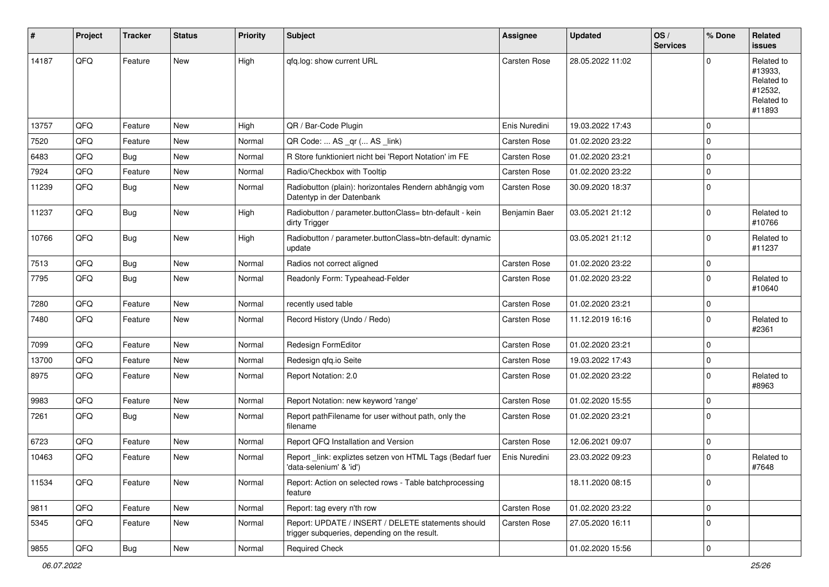| #     | Project | <b>Tracker</b> | <b>Status</b> | <b>Priority</b> | Subject                                                                                            | Assignee      | <b>Updated</b>   | OS/<br><b>Services</b> | % Done      | Related<br>issues                                                      |
|-------|---------|----------------|---------------|-----------------|----------------------------------------------------------------------------------------------------|---------------|------------------|------------------------|-------------|------------------------------------------------------------------------|
| 14187 | QFQ     | Feature        | <b>New</b>    | High            | qfq.log: show current URL                                                                          | Carsten Rose  | 28.05.2022 11:02 |                        | U           | Related to<br>#13933,<br>Related to<br>#12532,<br>Related to<br>#11893 |
| 13757 | QFQ     | Feature        | <b>New</b>    | High            | QR / Bar-Code Plugin                                                                               | Enis Nuredini | 19.03.2022 17:43 |                        | $\Omega$    |                                                                        |
| 7520  | QFQ     | Feature        | New           | Normal          | QR Code:  AS _qr ( AS _link)                                                                       | Carsten Rose  | 01.02.2020 23:22 |                        | $\Omega$    |                                                                        |
| 6483  | QFQ     | Bug            | <b>New</b>    | Normal          | R Store funktioniert nicht bei 'Report Notation' im FE                                             | Carsten Rose  | 01.02.2020 23:21 |                        | $\mathbf 0$ |                                                                        |
| 7924  | QFQ     | Feature        | <b>New</b>    | Normal          | Radio/Checkbox with Tooltip                                                                        | Carsten Rose  | 01.02.2020 23:22 |                        | 0           |                                                                        |
| 11239 | QFQ     | Bug            | New           | Normal          | Radiobutton (plain): horizontales Rendern abhängig vom<br>Datentyp in der Datenbank                | Carsten Rose  | 30.09.2020 18:37 |                        | $\Omega$    |                                                                        |
| 11237 | QFQ     | Bug            | New           | High            | Radiobutton / parameter.buttonClass= btn-default - kein<br>dirty Trigger                           | Benjamin Baer | 03.05.2021 21:12 |                        | $\Omega$    | Related to<br>#10766                                                   |
| 10766 | QFQ     | Bug            | <b>New</b>    | High            | Radiobutton / parameter.buttonClass=btn-default: dynamic<br>update                                 |               | 03.05.2021 21:12 |                        | 0           | Related to<br>#11237                                                   |
| 7513  | QFQ     | Bug            | New           | Normal          | Radios not correct aligned                                                                         | Carsten Rose  | 01.02.2020 23:22 |                        | $\mathbf 0$ |                                                                        |
| 7795  | QFQ     | Bug            | <b>New</b>    | Normal          | Readonly Form: Typeahead-Felder                                                                    | Carsten Rose  | 01.02.2020 23:22 |                        | $\Omega$    | Related to<br>#10640                                                   |
| 7280  | QFQ     | Feature        | <b>New</b>    | Normal          | recently used table                                                                                | Carsten Rose  | 01.02.2020 23:21 |                        | $\mathbf 0$ |                                                                        |
| 7480  | QFQ     | Feature        | New           | Normal          | Record History (Undo / Redo)                                                                       | Carsten Rose  | 11.12.2019 16:16 |                        | $\Omega$    | Related to<br>#2361                                                    |
| 7099  | QFQ     | Feature        | <b>New</b>    | Normal          | Redesign FormEditor                                                                                | Carsten Rose  | 01.02.2020 23:21 |                        | $\Omega$    |                                                                        |
| 13700 | QFQ     | Feature        | New           | Normal          | Redesign gfg.io Seite                                                                              | Carsten Rose  | 19.03.2022 17:43 |                        | $\mathbf 0$ |                                                                        |
| 8975  | QFQ     | Feature        | New           | Normal          | Report Notation: 2.0                                                                               | Carsten Rose  | 01.02.2020 23:22 |                        | $\Omega$    | Related to<br>#8963                                                    |
| 9983  | QFQ     | Feature        | <b>New</b>    | Normal          | Report Notation: new keyword 'range'                                                               | Carsten Rose  | 01.02.2020 15:55 |                        | $\Omega$    |                                                                        |
| 7261  | QFQ     | Bug            | New           | Normal          | Report pathFilename for user without path, only the<br>filename                                    | Carsten Rose  | 01.02.2020 23:21 |                        | $\mathbf 0$ |                                                                        |
| 6723  | QFQ     | Feature        | <b>New</b>    | Normal          | Report QFQ Installation and Version                                                                | Carsten Rose  | 12.06.2021 09:07 |                        | $\Omega$    |                                                                        |
| 10463 | QFQ     | Feature        | <b>New</b>    | Normal          | Report _link: expliztes setzen von HTML Tags (Bedarf fuer<br>'data-selenium' & 'id')               | Enis Nuredini | 23.03.2022 09:23 |                        | $\Omega$    | Related to<br>#7648                                                    |
| 11534 | QFQ     | Feature        | New           | Normal          | Report: Action on selected rows - Table batchprocessing<br>feature                                 |               | 18.11.2020 08:15 |                        | $\mathbf 0$ |                                                                        |
| 9811  | QFQ     | Feature        | New           | Normal          | Report: tag every n'th row                                                                         | Carsten Rose  | 01.02.2020 23:22 |                        | $\mathbf 0$ |                                                                        |
| 5345  | QFQ     | Feature        | New           | Normal          | Report: UPDATE / INSERT / DELETE statements should<br>trigger subqueries, depending on the result. | Carsten Rose  | 27.05.2020 16:11 |                        | $\mathbf 0$ |                                                                        |
| 9855  | QFQ     | Bug            | New           | Normal          | Required Check                                                                                     |               | 01.02.2020 15:56 |                        | 0           |                                                                        |